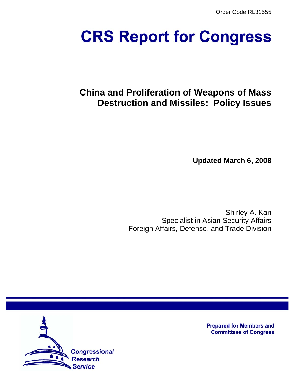Order Code RL31555

# **CRS Report for Congress**

# **China and Proliferation of Weapons of Mass Destruction and Missiles: Policy Issues**

**Updated March 6, 2008**

Shirley A. Kan Specialist in Asian Security Affairs Foreign Affairs, Defense, and Trade Division



**Prepared for Members and Committees of Congress**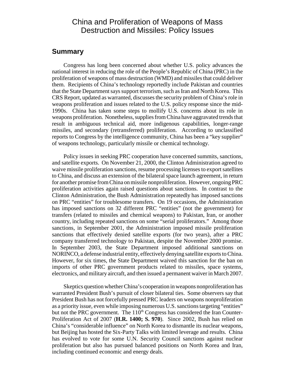# China and Proliferation of Weapons of Mass Destruction and Missiles: Policy Issues

#### **Summary**

Congress has long been concerned about whether U.S. policy advances the national interest in reducing the role of the People's Republic of China (PRC) in the proliferation of weapons of mass destruction (WMD) and missiles that could deliver them. Recipients of China's technology reportedly include Pakistan and countries that the State Department says support terrorism, such as Iran and North Korea. This CRS Report, updated as warranted, discusses the security problem of China's role in weapons proliferation and issues related to the U.S. policy response since the mid-1990s. China has taken some steps to mollify U.S. concerns about its role in weapons proliferation. Nonetheless, supplies from China have aggravated trends that result in ambiguous technical aid, more indigenous capabilities, longer-range missiles, and secondary (retransferred) proliferation. According to unclassified reports to Congress by the intelligence community, China has been a "key supplier" of weapons technology, particularly missile or chemical technology.

Policy issues in seeking PRC cooperation have concerned summits, sanctions, and satellite exports. On November 21, 2000, the Clinton Administration agreed to waive missile proliferation sanctions, resume processing licenses to export satellites to China, and discuss an extension of the bilateral space launch agreement, in return for another promise from China on missile nonproliferation. However, ongoing PRC proliferation activities again raised questions about sanctions. In contrast to the Clinton Administration, the Bush Administration repeatedly has imposed sanctions on PRC "entities" for troublesome transfers. On 19 occasions, the Administration has imposed sanctions on 32 different PRC "entities" (not the government) for transfers (related to missiles and chemical weapons) to Pakistan, Iran, or another country, including repeated sanctions on some "serial proliferators." Among those sanctions, in September 2001, the Administration imposed missile proliferation sanctions that effectively denied satellite exports (for two years), after a PRC company transferred technology to Pakistan, despite the November 2000 promise. In September 2003, the State Department imposed additional sanctions on NORINCO, a defense industrial entity, effectively denying satellite exports to China. However, for six times, the State Department waived this sanction for the ban on imports of other PRC government products related to missiles, space systems, electronics, and military aircraft, and then issued a permanent waiver in March 2007.

Skeptics question whether China's cooperation in weapons nonproliferation has warranted President Bush's pursuit of closer bilateral ties. Some observers say that President Bush has not forcefully pressed PRC leaders on weapons nonproliferation as a priority issue, even while imposing numerous U.S. sanctions targeting "entities" but not the PRC government. The  $110<sup>th</sup>$  Congress has considered the Iran Counter-Proliferation Act of 2007 (**H.R. 1400; S. 970**). Since 2002, Bush has relied on China's "considerable influence" on North Korea to dismantle its nuclear weapons, but Beijing has hosted the Six-Party Talks with limited leverage and results. China has evolved to vote for some U.N. Security Council sanctions against nuclear proliferation but also has pursued balanced positions on North Korea and Iran, including continued economic and energy deals.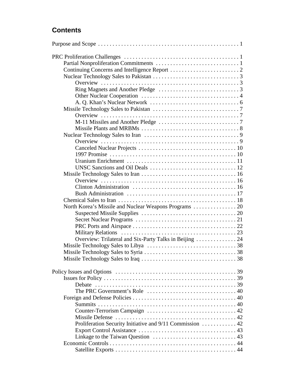# **Contents**

| North Korea's Missile and Nuclear Weapons Programs  20    |  |
|-----------------------------------------------------------|--|
|                                                           |  |
|                                                           |  |
|                                                           |  |
|                                                           |  |
|                                                           |  |
|                                                           |  |
|                                                           |  |
|                                                           |  |
|                                                           |  |
|                                                           |  |
|                                                           |  |
| Debate                                                    |  |
|                                                           |  |
|                                                           |  |
|                                                           |  |
|                                                           |  |
|                                                           |  |
| Proliferation Security Initiative and 9/11 Commission  42 |  |
|                                                           |  |
|                                                           |  |
|                                                           |  |
|                                                           |  |
|                                                           |  |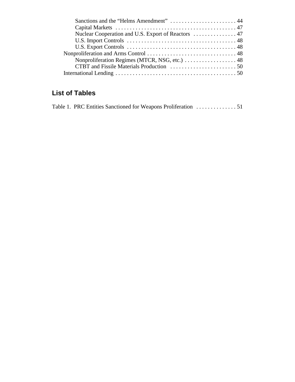| Sanctions and the "Helms Amendment"  44             |  |
|-----------------------------------------------------|--|
|                                                     |  |
| Nuclear Cooperation and U.S. Export of Reactors  47 |  |
|                                                     |  |
|                                                     |  |
|                                                     |  |
|                                                     |  |
|                                                     |  |
|                                                     |  |

# **List of Tables**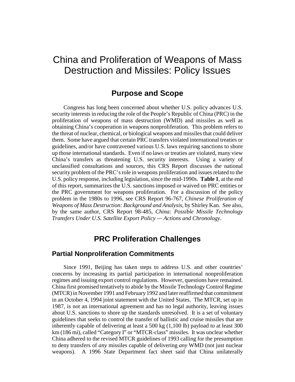# China and Proliferation of Weapons of Mass Destruction and Missiles: Policy Issues

# **Purpose and Scope**

Congress has long been concerned about whether U.S. policy advances U.S. security interests in reducing the role of the People's Republic of China (PRC) in the proliferation of weapons of mass destruction (WMD) and missiles as well as obtaining China's cooperation in weapons nonproliferation. This problem refers to the threat of nuclear, chemical, or biological weapons and missiles that could deliver them. Some have argued that certain PRC transfers violated international treaties or guidelines, and/or have contravened various U.S. laws requiring sanctions to shore up those international standards. Even if no laws or treaties are violated, many view China's transfers as threatening U.S. security interests. Using a variety of unclassified consultations and sources, this CRS Report discusses the national security problem of the PRC's role in weapons proliferation and issues related to the U.S. policy response, including legislation, since the mid-1990s. **Table 1**, at the end of this report, summarizes the U.S. sanctions imposed or waived on PRC entities or the PRC government for weapons proliferation. For a discussion of the policy problem in the 1980s to 1996, see CRS Report 96-767, *Chinese Proliferation of Weapons of Mass Destruction: Background and Analysis*, by Shirley Kan. See also, by the same author, CRS Report 98-485, *China: Possible Missile Technology Transfers Under U.S. Satellite Export Policy — Actions and Chronology*.

# **PRC Proliferation Challenges**

#### **Partial Nonproliferation Commitments**

Since 1991, Beijing has taken steps to address U.S. and other countries' concerns by increasing its partial participation in international nonproliferation regimes and issuing export control regulations. However, questions have remained. China first promised tentatively to abide by the Missile Technology Control Regime (MTCR) in November 1991 and February 1992 and later reaffirmed that commitment in an October 4, 1994 joint statement with the United States. The MTCR, set up in 1987, is not an international agreement and has no legal authority, leaving issues about U.S. sanctions to shore up the standards unresolved. It is a set of voluntary guidelines that seeks to control the transfer of ballistic and cruise missiles that are inherently capable of delivering at least a 500 kg (1,100 lb) payload to at least 300 km (186 mi), called "Category I" or "MTCR-class" missiles. It was unclear whether China adhered to the revised MTCR guidelines of 1993 calling for the presumption to deny transfers of *any* missiles capable of delivering *any* WMD (not just nuclear weapons). A 1996 State Department fact sheet said that China unilaterally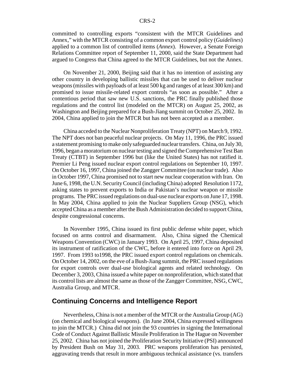committed to controlling exports "consistent with the MTCR Guidelines and Annex," with the MTCR consisting of a common export control policy (*Guidelines*) applied to a common list of controlled items (*Annex*). However, a Senate Foreign Relations Committee report of September 11, 2000, said the State Department had argued to Congress that China agreed to the MTCR Guidelines, but not the Annex.

On November 21, 2000, Beijing said that it has no intention of assisting any other country in developing ballistic missiles that can be used to deliver nuclear weapons (missiles with payloads of at least 500 kg and ranges of at least 300 km) and promised to issue missile-related export controls "as soon as possible." After a contentious period that saw new U.S. sanctions, the PRC finally published those regulations and the control list (modeled on the MTCR) on August 25, 2002, as Washington and Beijing prepared for a Bush-Jiang summit on October 25, 2002. In 2004, China applied to join the MTCR but has not been accepted as a member.

China acceded to the Nuclear Nonproliferation Treaty (NPT) on March 9, 1992. The NPT does not ban peaceful nuclear projects. On May 11, 1996, the PRC issued a statement promising to make only safeguarded nuclear transfers. China, on July 30, 1996, began a moratorium on nuclear testing and signed the Comprehensive Test Ban Treaty (CTBT) in September 1996 but (like the United States) has not ratified it. Premier Li Peng issued nuclear export control regulations on September 10, 1997. On October 16, 1997, China joined the Zangger Committee (on nuclear trade). Also in October 1997, China promised not to start new nuclear cooperation with Iran. On June 6, 1998, the U.N. Security Council (including China) adopted Resolution 1172, asking states to prevent exports to India or Pakistan's nuclear weapon or missile programs. The PRC issued regulations on dual-use nuclear exports on June 17, 1998. In May 2004, China applied to join the Nuclear Suppliers Group (NSG), which accepted China as a member after the Bush Administration decided to support China, despite congressional concerns.

In November 1995, China issued its first public defense white paper, which focused on arms control and disarmament. Also, China signed the Chemical Weapons Convention (CWC) in January 1993. On April 25, 1997, China deposited its instrument of ratification of the CWC, before it entered into force on April 29, 1997. From 1993 to1998, the PRC issued export control regulations on chemicals. On October 14, 2002, on the eve of a Bush-Jiang summit, the PRC issued regulations for export controls over dual-use biological agents and related technology. On December 3, 2003, China issued a white paper on nonproliferation, which stated that its control lists are almost the same as those of the Zangger Committee, NSG, CWC, Australia Group, and MTCR.

#### **Continuing Concerns and Intelligence Report**

Nevertheless, China is not a member of the MTCR or the Australia Group (AG) (on chemical and biological weapons). (In June 2004, China expressed willingness to join the MTCR.) China did not join the 93 countries in signing the International Code of Conduct Against Ballistic Missile Proliferation in The Hague on November 25, 2002. China has not joined the Proliferation Security Initiative (PSI) announced by President Bush on May 31, 2003. PRC weapons proliferation has persisted, aggravating trends that result in more ambiguous technical assistance (vs. transfers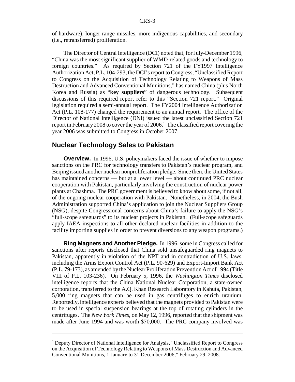of hardware), longer range missiles, more indigenous capabilities, and secondary (i.e., retransferred) proliferation.

The Director of Central Intelligence (DCI) noted that, for July-December 1996, "China was the most significant supplier of WMD-related goods and technology to foreign countries." As required by Section 721 of the FY1997 Intelligence Authorization Act, P.L. 104-293, the DCI's report to Congress, "Unclassified Report to Congress on the Acquisition of Technology Relating to Weapons of Mass Destruction and Advanced Conventional Munitions," has named China (plus North Korea and Russia) as "**key suppliers**" of dangerous technology. Subsequent discussions of this required report refer to this "Section 721 report." Original legislation required a semi-annual report. The FY2004 Intelligence Authorization Act (P.L. 108-177) changed the requirement to an annual report. The office of the Director of National Intelligence (DNI) issued the latest unclassified Section 721 report in February 2008 to cover the year of 2006.<sup>1</sup> The classified report covering the year 2006 was submitted to Congress in October 2007.

## **Nuclear Technology Sales to Pakistan**

**Overview.** In 1996, U.S. policymakers faced the issue of whether to impose sanctions on the PRC for technology transfers to Pakistan's nuclear program, and Beijing issued another nuclear nonproliferation pledge. Since then, the United States has maintained concerns — but at a lower level — about continued PRC nuclear cooperation with Pakistan, particularly involving the construction of nuclear power plants at Chashma. The PRC government is believed to know about some, if not all, of the ongoing nuclear cooperation with Pakistan. Nonetheless, in 2004, the Bush Administration supported China's application to join the Nuclear Suppliers Group (NSG), despite Congressional concerns about China's failure to apply the NSG's "full-scope safeguards" to its nuclear projects in Pakistan. (Full-scope safeguards apply IAEA inspections to all other declared nuclear facilities in addition to the facility importing supplies in order to prevent diversions to any weapon programs.)

**Ring Magnets and Another Pledge.** In 1996, some in Congress called for sanctions after reports disclosed that China sold unsafeguarded ring magnets to Pakistan, apparently in violation of the NPT and in contradiction of U.S. laws, including the Arms Export Control Act (P.L. 90-629) and Export-Import Bank Act (P.L. 79-173), as amended by the Nuclear Proliferation Prevention Act of 1994 (Title VIII of P.L. 103-236). On February 5, 1996, the *Washington Times* disclosed intelligence reports that the China National Nuclear Corporation, a state-owned corporation, transferred to the A.Q. Khan Research Laboratory in Kahuta, Pakistan, 5,000 ring magnets that can be used in gas centrifuges to enrich uranium. Reportedly, intelligence experts believed that the magnets provided to Pakistan were to be used in special suspension bearings at the top of rotating cylinders in the centrifuges. The *New York Times*, on May 12, 1996, reported that the shipment was made after June 1994 and was worth \$70,000. The PRC company involved was

<sup>&</sup>lt;sup>1</sup> Deputy Director of National Intelligence for Analysis, "Unclassified Report to Congress on the Acquisition of Technology Relating to Weapons of Mass Destruction and Advanced Conventional Munitions, 1 January to 31 December 2006," February 29, 2008.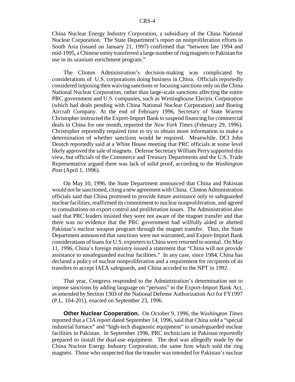China Nuclear Energy Industry Corporation, a subsidiary of the China National Nuclear Corporation. The State Department's report on nonproliferation efforts in South Asia (issued on January 21, 1997) confirmed that "between late 1994 and mid-1995, a Chinese entity transferred a large number of ring magnets to Pakistan for use in its uranium enrichment program."

The Clinton Administration's decision-making was complicated by considerations of U.S. corporations doing business in China. Officials reportedly considered imposing then waiving sanctions or focusing sanctions only on the China National Nuclear Corporation, rather than large-scale sanctions affecting the entire PRC government and U.S. companies, such as Westinghouse Electric Corporation (which had deals pending with China National Nuclear Corporation) and Boeing Aircraft Company. At the end of February 1996, Secretary of State Warren Christopher instructed the Export-Import Bank to suspend financing for commercial deals in China for one month, reported the *New York Times* (February 29, 1996). Christopher reportedly required time to try to obtain more information to make a determination of whether sanctions would be required. Meanwhile, DCI John Deutch reportedly said at a White House meeting that PRC officials at some level likely approved the sale of magnets. Defense Secretary William Perry supported this view, but officials of the Commerce and Treasury Departments and the U.S. Trade Representative argued there was lack of solid proof, according to the *Washington Post* (April 1, 1996).

On May 10, 1996, the State Department announced that China and Pakistan would not be sanctioned, citing a new agreement with China. Clinton Administration officials said that China promised to provide future assistance only to safeguarded nuclear facilities, reaffirmed its commitment to nuclear nonproliferation, and agreed to consultations on export control and proliferation issues. The Administration also said that PRC leaders insisted they were not aware of the magnet transfer and that there was no evidence that the PRC government had willfully aided or abetted Pakistan's nuclear weapon program through the magnet transfer. Thus, the State Department announced that sanctions were not warranted, and Export-Import Bank considerations of loans for U.S. exporters to China were returned to normal. On May 11, 1996, China's foreign ministry issued a statement that "China will not provide assistance to unsafeguarded nuclear facilities." In any case, since 1984, China has declared a policy of nuclear nonproliferation and a requirement for recipients of its transfers to accept IAEA safeguards, and China acceded to the NPT in 1992.

That year, Congress responded to the Administration's determination not to impose sanctions by adding language on "persons" in the Export-Import Bank Act, as amended by Section 1303 of the National Defense Authorization Act for FY1997 (P.L. 104-201), enacted on September 23, 1996.

**Other Nuclear Cooperation.** On October 9, 1996, the *Washington Times* reported that a CIA report dated September 14, 1996, said that China sold a "special industrial furnace" and "high-tech diagnostic equipment" to unsafeguarded nuclear facilities in Pakistan. In September 1996, PRC technicians in Pakistan reportedly prepared to install the dual-use equipment. The deal was allegedly made by the China Nuclear Energy Industry Corporation, the same firm which sold the ring magnets. Those who suspected that the transfer was intended for Pakistan's nuclear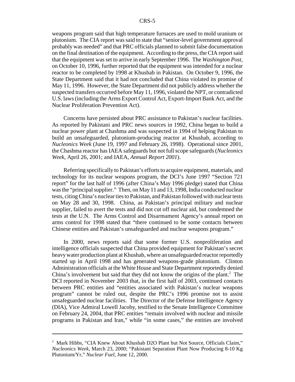weapons program said that high temperature furnaces are used to mold uranium or plutonium. The CIA report was said to state that "senior-level government approval probably was needed" and that PRC officials planned to submit false documentation on the final destination of the equipment. According to the press, the CIA report said that the equipment was set to arrive in early September 1996. The *Washington Post*, on October 10, 1996, further reported that the equipment was intended for a nuclear reactor to be completed by 1998 at Khushab in Pakistan. On October 9, 1996, the State Department said that it had not concluded that China violated its promise of May 11, 1996. However, the State Department did not publicly address whether the suspected transfers occurred before May 11, 1996, violated the NPT, or contradicted U.S. laws (including the Arms Export Control Act, Export-Import Bank Act, and the Nuclear Proliferation Prevention Act).

Concerns have persisted about PRC assistance to Pakistan's nuclear facilities. As reported by Pakistani and PRC news sources in 1992, China began to build a nuclear power plant at Chashma and was suspected in 1994 of helping Pakistan to build an unsafeguarded, plutonium-producing reactor at Khushab, according to *Nucleonics Week* (June 19, 1997 and February 26, 1998). Operational since 2001, the Chashma reactor has IAEA safeguards but not full scope safeguards (*Nucleonics Week*, April 26, 2001; and IAEA, *Annual Report 2001*).

Referring specifically to Pakistan's efforts to acquire equipment, materials, and technology for its nuclear weapons program, the DCI's June 1997 "Section 721 report" for the last half of 1996 (after China's May 1996 pledge) stated that China was the "principal supplier." Then, on May 11 and 13, 1998, India conducted nuclear tests, citing China's nuclear ties to Pakistan, and Pakistan followed with nuclear tests on May 28 and 30, 1998. China, as Pakistan's principal military and nuclear supplier, failed to avert the tests and did not cut off nuclear aid, but condemned the tests at the U.N. The Arms Control and Disarmament Agency's annual report on arms control for 1998 stated that "there continued to be some contacts between Chinese entities and Pakistan's unsafeguarded and nuclear weapons program."

In 2000, news reports said that some former U.S. nonproliferation and intelligence officials suspected that China provided equipment for Pakistan's secret heavy water production plant at Khushab, where an unsafeguarded reactor reportedly started up in April 1998 and has generated weapons-grade plutonium. Clinton Administration officials at the White House and State Department reportedly denied China's involvement but said that they did not know the origins of the plant. $2$  The DCI reported in November 2003 that, in the first half of 2003, continued contacts between PRC entities and "entities associated with Pakistan's nuclear weapons program" cannot be ruled out, despite the PRC's 1996 promise not to assist unsafeguarded nuclear facilities. The Director of the Defense Intelligence Agency (DIA), Vice Admiral Lowell Jacoby, testified to the Senate Intelligence Committee on February 24, 2004, that PRC entities "remain involved with nuclear and missile programs in Pakistan and Iran," while "in some cases," the entities are involved

<sup>&</sup>lt;sup>2</sup> Mark Hibbs, "CIA Knew About Khushab D2O Plant but Not Source, Officials Claim," *Nucleonics Week*, March 23, 2000; "Pakistani Separation Plant Now Producing 8-10 Kg Plutonium/Yr," *Nuclear Fuel*, June 12, 2000.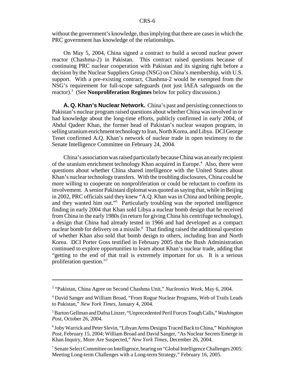without the government's knowledge, thus implying that there are cases in which the PRC government has knowledge of the relationships.

On May 5, 2004, China signed a contract to build a second nuclear power reactor (Chashma-2) in Pakistan. This contract raised questions because of continuing PRC nuclear cooperation with Pakistan and its signing right before a decision by the Nuclear Suppliers Group (NSG) on China's membership, with U.S. support. With a pre-existing contract, Chashma-2 would be exempted from the NSG's requirement for full-scope safeguards (not just IAEA safeguards on the reactor).3 (See **Nonproliferation Regimes** below for policy discussion.)

**A. Q. Khan's Nuclear Network.** China's past and persisting connections to Pakistan's nuclear program raised questions about whether China was involved in or had knowledge about the long-time efforts, publicly confirmed in early 2004, of Abdul Qadeer Khan, the former head of Pakistan's nuclear weapon program, in selling uranium enrichment technology to Iran, North Korea, and Libya. DCI George Tenet confirmed A.Q. Khan's network of nuclear trade in open testimony to the Senate Intelligence Committee on February 24, 2004.

China's association was raised particularly because China was an early recipient of the uranium enrichment technology Khan acquired in Europe.<sup>4</sup> Also, there were questions about whether China shared intelligence with the United States about Khan's nuclear technology transfers. With the troubling disclosures, China could be more willing to cooperate on nonproliferation or could be reluctant to confirm its involvement. A senior Pakistani diplomat was quoted as saying that, while in Beijing in 2002, PRC officials said they knew "A.Q. Khan was in China and bribing people, and they wanted him out."<sup>5</sup> Particularly troubling was the reported intelligence finding in early 2004 that Khan sold Libya a nuclear bomb design that he received from China in the early 1980s (in return for giving China his centrifuge technology), a design that China had already tested in 1966 and had developed as a compact nuclear bomb for delivery on a missile.<sup>6</sup> That finding raised the additional question of whether Khan also sold that bomb design to others, including Iran and North Korea. DCI Porter Goss testified in February 2005 that the Bush Administration continued to explore opportunities to learn about Khan's nuclear trade, adding that "getting to the end of that trail is extremely important for us. It is a serious proliferation question."7

<sup>3</sup> "Pakistan, China Agree on Second Chashma Unit," *Nucleonics Week*, May 6, 2004.

<sup>&</sup>lt;sup>4</sup> David Sanger and William Broad, "From Rogue Nuclear Programs, Web of Trails Leads to Pakistan," *New York Times*, January 4, 2004.

<sup>5</sup> Barton Gellman and Dafna Linzer, "Unprecedented Peril Forces Tough Calls," *Washington Post*, October 26, 2004.

<sup>6</sup> Joby Warrick and Peter Slevin, "Libyan Arms Designs Traced Back to China," *Washington Post*, February 15, 2004; William Broad and David Sanger, "As Nuclear Secrets Emerge in Khan Inquiry, More Are Suspected," *New York Times*, December 26, 2004.

<sup>&</sup>lt;sup>7</sup> Senate Select Committee on Intelligence, hearing on "Global Intelligence Challenges 2005: Meeting Long-term Challenges with a Long-term Strategy," February 16, 2005.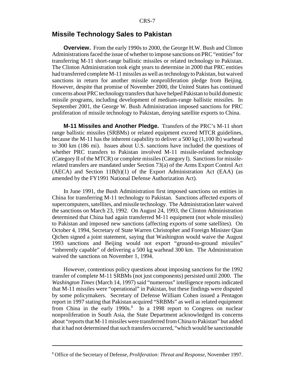### **Missile Technology Sales to Pakistan**

**Overview.** From the early 1990s to 2000, the George H.W. Bush and Clinton Administrations faced the issue of whether to impose sanctions on PRC "entities" for transferring M-11 short-range ballistic missiles or related technology to Pakistan. The Clinton Administration took eight years to determine in 2000 that PRC entities had transferred complete M-11 missiles as well as technology to Pakistan, but waived sanctions in return for another missile nonproliferation pledge from Beijing. However, despite that promise of November 2000, the United States has continued concerns about PRC technology transfers that have helped Pakistan to build domestic missile programs, including development of medium-range ballistic missiles. In September 2001, the George W. Bush Administration imposed sanctions for PRC proliferation of missile technology to Pakistan, denying satellite exports to China.

**M-11 Missiles and Another Pledge.** Transfers of the PRC's M-11 short range ballistic missiles (SRBMs) or related equipment exceed MTCR guidelines, because the M-11 has the inherent capability to deliver a 500 kg  $(1,100 \text{ lb})$  warhead to 300 km (186 mi). Issues about U.S. sanctions have included the questions of whether PRC transfers to Pakistan involved M-11 missile-related technology (Category II of the MTCR) or complete missiles (Category I). Sanctions for missilerelated transfers are mandated under Section 73(a) of the Arms Export Control Act  $(AECA)$  and Section 11B(b)(1) of the Export Administration Act (EAA) (as amended by the FY1991 National Defense Authorization Act).

In June 1991, the Bush Administration first imposed sanctions on entities in China for transferring M-11 technology to Pakistan. Sanctions affected exports of supercomputers, satellites, and missile technology. The Administration later waived the sanctions on March 23, 1992. On August 24, 1993, the Clinton Administration determined that China had again transferred M-11 equipment (not whole missiles) to Pakistan and imposed new sanctions (affecting exports of some satellites). On October 4, 1994, Secretary of State Warren Christopher and Foreign Minister Qian Qichen signed a joint statement, saying that Washington would waive the August 1993 sanctions and Beijing would not export "ground-to-ground missiles" "inherently capable" of delivering a 500 kg warhead 300 km. The Administration waived the sanctions on November 1, 1994.

However, contentious policy questions about imposing sanctions for the 1992 transfer of complete M-11 SRBMs (not just components) persisted until 2000. The *Washington Times* (March 14, 1997) said "numerous" intelligence reports indicated that M-11 missiles were "operational" in Pakistan, but these findings were disputed by some policymakers. Secretary of Defense William Cohen issued a Pentagon report in 1997 stating that Pakistan acquired "SRBMs" as well as related equipment from China in the early 1990s.<sup>8</sup> In a 1998 report to Congress on nuclear nonproliferation in South Asia, the State Department acknowledged its concerns about "reports that M-11 missiles were transferred from China to Pakistan" but added that it had not determined that such transfers occurred, "which would be sanctionable

<sup>8</sup> Office of the Secretary of Defense, *Proliferation: Threat and Response*, November 1997.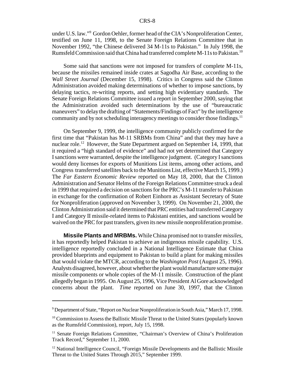under U.S. law."9 Gordon Oehler, former head of the CIA's Nonproliferation Center, testified on June 11, 1998, to the Senate Foreign Relations Committee that in November 1992, "the Chinese delivered 34 M-11s to Pakistan." In July 1998, the Rumsfeld Commission said that China had transferred complete M-11s to Pakistan.<sup>10</sup>

Some said that sanctions were not imposed for transfers of complete M-11s, because the missiles remained inside crates at Sagodha Air Base, according to the *Wall Street Journal* (December 15, 1998). Critics in Congress said the Clinton Administration avoided making determinations of whether to impose sanctions, by delaying tactics, re-writing reports, and setting high evidentiary standards. The Senate Foreign Relations Committee issued a report in September 2000, saying that the Administration avoided such determinations by the use of "bureaucratic maneuvers" to delay the drafting of "Statements/Findings of Fact" by the intelligence community and by not scheduling interagency meetings to consider those findings.<sup>11</sup>

On September 9, 1999, the intelligence community publicly confirmed for the first time that "Pakistan has M-11 SRBMs from China" and that they may have a nuclear role.<sup>12</sup> However, the State Department argued on September 14, 1999, that it required a "high standard of evidence" and had not yet determined that Category I sanctions were warranted, despite the intelligence judgment. (Category I sanctions would deny licenses for exports of Munitions List items, among other actions, and Congress transferred satellites back to the Munitions List, effective March 15, 1999.) The *Far Eastern Economic Review* reported on May 18, 2000, that the Clinton Administration and Senator Helms of the Foreign Relations Committee struck a deal in 1999 that required a decision on sanctions for the PRC's M-11 transfer to Pakistan in exchange for the confirmation of Robert Einhorn as Assistant Secretary of State for Nonproliferation (approved on November 3, 1999). On November 21, 2000, the Clinton Administration said it determined that PRC entities had transferred Category I and Category II missile-related items to Pakistani entities, and sanctions would be waived on the PRC for past transfers, given its new missile nonproliferation promise.

**Missile Plants and MRBMs.** While China promised not to transfer *missiles*, it has reportedly helped Pakistan to achieve an indigenous missile capability. U.S. intelligence reportedly concluded in a National Intelligence Estimate that China provided blueprints and equipment to Pakistan to build a plant for making missiles that would violate the MTCR, according to the *Washington Post* (August 25, 1996). Analysts disagreed, however, about whether the plant would manufacture some major missile components or whole copies of the M-11 missile. Construction of the plant allegedly began in 1995. On August 25, 1996, Vice President Al Gore acknowledged concerns about the plant. *Time* reported on June 30, 1997, that the Clinton

<sup>&</sup>lt;sup>9</sup> Department of State, "Report on Nuclear Nonproliferation in South Asia," March 17, 1998.

<sup>&</sup>lt;sup>10</sup> Commission to Assess the Ballistic Missile Threat to the United States (popularly known as the Rumsfeld Commission), report, July 15, 1998.

<sup>&</sup>lt;sup>11</sup> Senate Foreign Relations Committee, "Chairman's Overview of China's Proliferation Track Record," September 11, 2000.

<sup>&</sup>lt;sup>12</sup> National Intelligence Council, "Foreign Missile Developments and the Ballistic Missile Threat to the United States Through 2015," September 1999.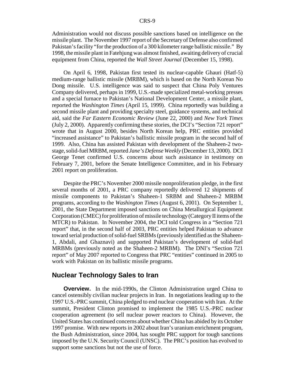Administration would not discuss possible sanctions based on intelligence on the missile plant. The November 1997 report of the Secretary of Defense also confirmed Pakistan's facility "for the production of a 300 kilometer range ballistic missile." By 1998, the missile plant in Fatehjung was almost finished, awaiting delivery of crucial equipment from China, reported the *Wall Street Journal* (December 15, 1998).

On April 6, 1998, Pakistan first tested its nuclear-capable Ghauri (Hatf-5) medium-range ballistic missile (MRBM), which is based on the North Korean No Dong missile. U.S. intelligence was said to suspect that China Poly Ventures Company delivered, perhaps in 1999, U.S.-made specialized metal-working presses and a special furnace to Pakistan's National Development Center, a missile plant, reported the *Washington Times* (April 15, 1999). China reportedly was building a second missile plant and providing specialty steel, guidance systems, and technical aid, said the *Far Eastern Economic Review* (June 22, 2000) and *New York Times* (July 2, 2000). Apparently confirming these stories, the DCI's "Section 721 report" wrote that in August 2000, besides North Korean help, PRC entities provided "increased assistance" to Pakistan's ballistic missile program in the second half of 1999. Also, China has assisted Pakistan with development of the Shaheen-2 twostage, solid-fuel MRBM, reported *Jane's Defense Weekly* (December 13, 2000). DCI George Tenet confirmed U.S. concerns about such assistance in testimony on February 7, 2001, before the Senate Intelligence Committee, and in his February 2001 report on proliferation.

Despite the PRC's November 2000 missile nonproliferation pledge, in the first several months of 2001, a PRC company reportedly delivered 12 shipments of missile components to Pakistan's Shaheen-1 SRBM and Shaheen-2 MRBM programs, according to the *Washington Times* (August 6, 2001). On September 1, 2001, the State Department imposed sanctions on China Metallurgical Equipment Corporation (CMEC) for proliferation of missile technology (Category II items of the MTCR) to Pakistan. In November 2004, the DCI told Congress in a "Section 721 report" that, in the second half of 2003, PRC entities helped Pakistan to advance toward serial production of solid-fuel SRBMs (previously identified as the Shaheen-1, Abdali, and Ghaznavi) and supported Pakistan's development of solid-fuel MRBMs (previously noted as the Shaheen-2 MRBM). The DNI's "Section 721 report" of May 2007 reported to Congress that PRC "entities" continued in 2005 to work with Pakistan on its ballistic missile programs.

#### **Nuclear Technology Sales to Iran**

**Overview.** In the mid-1990s, the Clinton Administration urged China to cancel ostensibly civilian nuclear projects in Iran. In negotiations leading up to the 1997 U.S.-PRC summit, China pledged to end nuclear cooperation with Iran. At the summit, President Clinton promised to implement the 1985 U.S.-PRC nuclear cooperation agreement (to sell nuclear power reactors to China). However, the United States has continued concerns about whether China has abided by its October 1997 promise. With new reports in 2002 about Iran's uranium enrichment program, the Bush Administration, since 2004, has sought PRC support for tough sanctions imposed by the U.N. Security Council (UNSC). The PRC's position has evolved to support some sanctions but not the use of force.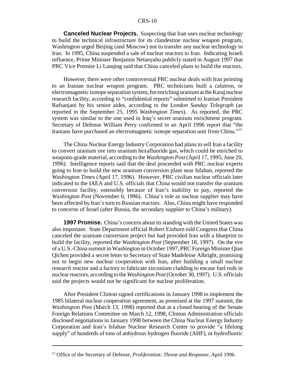**Canceled Nuclear Projects.** Suspecting that Iran uses nuclear technology to build the technical infrastructure for its clandestine nuclear weapon program, Washington urged Beijing (and Moscow) not to transfer any nuclear technology to Iran. In 1995, China suspended a sale of nuclear reactors to Iran. Indicating Israeli influence, Prime Minister Benjamin Netanyahu publicly stated in August 1997 that PRC Vice Premier Li Lanqing said that China canceled plans to build the reactors.

However, there were other controversial PRC nuclear deals with Iran pointing to an Iranian nuclear weapon program. PRC technicians built a calutron, or electromagnetic isotope separation system, for enriching uranium at the Karaj nuclear research facility, according to "confidential reports" submitted to Iranian President Rafsanjani by his senior aides, according to the *London Sunday Telegraph* (as reported in the September 25, 1995 *Washington Times*). As reported, the PRC system was similar to the one used in Iraq's secret uranium enrichment program. Secretary of Defense William Perry confirmed in an April 1996 report that "the Iranians have purchased an electromagnetic isotope separation unit from China."13

The China Nuclear Energy Industry Corporation had plans to sell Iran a facility to convert uranium ore into uranium hexafluoride gas, which could be enriched to weapons-grade material, according to the *Washington Post* (April 17, 1995; June 20, 1996). Intelligence reports said that the deal proceeded with PRC nuclear experts going to Iran to build the new uranium conversion plant near Isfahan, reported the *Washington Times* (April 17, 1996). However, PRC civilian nuclear officials later indicated to the IAEA and U.S. officials that China would not transfer the uranium conversion facility, ostensibly because of Iran's inability to pay, reported the *Washington Post* (November 6, 1996). China's role as nuclear supplier may have been affected by Iran's turn to Russian reactors. Also, China might have responded to concerns of Israel (after Russia, the secondary supplier to China's military).

**1997 Promise.** China's concern about its standing with the United States was also important. State Department official Robert Einhorn told Congress that China canceled the uranium conversion project but had provided Iran with a blueprint to build the facility, reported the *Washington Post* (September 18, 1997). On the eve of a U.S.-China summit in Washington in October 1997, PRC Foreign Minister Qian Qichen provided a secret letter to Secretary of State Madeleine Albright, promising not to begin new nuclear cooperation with Iran, after building a small nuclear research reactor and a factory to fabricate zirconium cladding to encase fuel rods in nuclear reactors, according to the *Washington Post* (October 30, 1997). U.S. officials said the projects would not be significant for nuclear proliferation.

After President Clinton signed certifications in January 1998 to implement the 1985 bilateral nuclear cooperation agreement, as promised at the 1997 summit, the *Washington Post* (March 13, 1998) reported that at a closed hearing of the Senate Foreign Relations Committee on March 12, 1998, Clinton Administration officials disclosed negotiations in January 1998 between the China Nuclear Energy Industry Corporation and Iran's Isfahan Nuclear Research Center to provide "a lifelong supply" of hundreds of tons of anhydrous hydrogen fluoride (AHF), or hydrofluoric

<sup>13</sup> Office of the Secretary of Defense, *Proliferation: Threat and Response*, April 1996.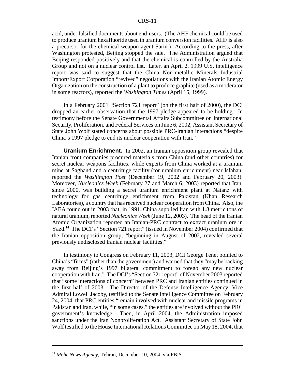acid, under falsified documents about end-users. (The AHF chemical could be used to produce uranium hexafluoride used in uranium conversion facilities. AHF is also a precursor for the chemical weapon agent Sarin.) According to the press, after Washington protested, Beijing stopped the sale. The Administration argued that Beijing responded positively and that the chemical is controlled by the Australia Group and not on a nuclear control list. Later, an April 2, 1999 U.S. intelligence report was said to suggest that the China Non-metallic Minerals Industrial Import/Export Corporation "revived" negotiations with the Iranian Atomic Energy Organization on the construction of a plant to produce graphite (used as a moderator in some reactors), reported the *Washington Times* (April 15, 1999).

In a February 2001 "Section 721 report" (on the first half of 2000), the DCI dropped an earlier observation that the 1997 pledge appeared to be holding. In testimony before the Senate Governmental Affairs Subcommittee on International Security, Proliferation, and Federal Services on June 6, 2002, Assistant Secretary of State John Wolf stated concerns about possible PRC-Iranian interactions "despite China's 1997 pledge to end its nuclear cooperation with Iran."

**Uranium Enrichment.** In 2002, an Iranian opposition group revealed that Iranian front companies procured materials from China (and other countries) for secret nuclear weapons facilities, while experts from China worked at a uranium mine at Saghand and a centrifuge facility (for uranium enrichment) near Isfahan, reported the *Washington Post* (December 19, 2002 and February 20, 2003). Moreover, *Nucleonics Week* (February 27 and March 6, 2003) reported that Iran, since 2000, was building a secret uranium enrichment plant at Natanz with technology for gas centrifuge enrichment from Pakistan (Khan Research Laboratories), a country that has received nuclear cooperation from China. Also, the IAEA found out in 2003 that, in 1991, China supplied Iran with 1.8 metric tons of natural uranium, reported *Nucleonics Week* (June 12, 2003). The head of the Iranian Atomic Organization reported an Iranian-PRC contract to extract uranium ore in Yazd.<sup>14</sup> The DCI's "Section 721 report" (issued in November 2004) confirmed that the Iranian opposition group, "beginning in August of 2002, revealed several previously undisclosed Iranian nuclear facilities."

In testimony to Congress on February 11, 2003, DCI George Tenet pointed to China's "firms" (rather than the government) and warned that they "may be backing away from Beijing's 1997 bilateral commitment to forego any new nuclear cooperation with Iran." The DCI's "Section 721 report" of November 2003 reported that "some interactions of concern" between PRC and Iranian entities continued in the first half of 2003. The Director of the Defense Intelligence Agency, Vice Admiral Lowell Jacoby, testified to the Senate Intelligence Committee on February 24, 2004, that PRC entities "remain involved with nuclear and missile programs in Pakistan and Iran, while, "in some cases," the entities are involved without the PRC government's knowledge. Then, in April 2004, the Administration imposed sanctions under the Iran Nonproliferation Act. Assistant Secretary of State John Wolf testified to the House International Relations Committee on May 18, 2004, that

<sup>14</sup> *Mehr News Agency*, Tehran, December 10, 2004, via FBIS.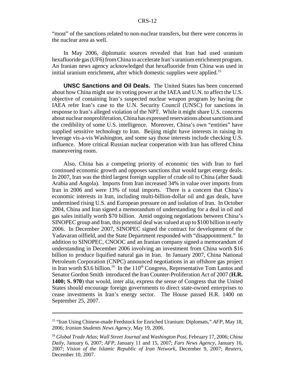"most" of the sanctions related to non-nuclear transfers, but there were concerns in the nuclear area as well.

In May 2006, diplomatic sources revealed that Iran had used uranium hexafluoride gas (UF6) from China to accelerate Iran's uranium enrichment program. An Iranian news agency acknowledged that hexafluoride from China was used in initial uranium enrichment, after which domestic supplies were applied.<sup>15</sup>

**UNSC Sanctions and Oil Deals.** The United States has been concerned about how China might use its voting power at the IAEA and U.N. to affect the U.S. objective of containing Iran's suspected nuclear weapon program by having the IAEA refer Iran's case to the U.N. Security Council (UNSC) for sanctions in response to Iran's alleged violation of the NPT. While it might share U.S. concerns about nuclear nonproliferation, China has expressed reservations about sanctions and the credibility of some U.S. intelligence. Moreover, China's own "entities" have supplied sensitive technology to Iran. Beijing might have interests in raising its leverage vis-a-vis Washington, and some say those interests include checking U.S. influence. More critical Russian nuclear cooperation with Iran has offered China maneuvering room.

Also, China has a competing priority of economic ties with Iran to fuel continued economic growth and opposes sanctions that would target energy deals. In 2007, Iran was the third largest foreign supplier of crude oil to China (after Saudi Arabia and Angola). Imports from Iran increased 34% in value over imports from Iran in 2006 and were 13% of total imports. There is a concern that China's economic interests in Iran, including multi-billion-dollar oil and gas deals, have undermined rising U.S. and European pressure on and isolation of Iran. In October 2004, China and Iran signed a memorandum of understanding for a deal in oil and gas sales initially worth \$70 billion. Amid ongoing negotiations between China's SINOPEC group and Iran, this potential deal was valued at up to \$100 billion in early 2006. In December 2007, SINOPEC signed the contract for development of the Yadavaran oilfield, and the State Department responded with "disappointment." In addition to SINOPEC, CNOOC and an Iranian company signed a memorandum of understanding in December 2006 involving an investment from China worth \$16 billion to produce liquified natural gas in Iran. In January 2007, China National Petroleum Corporation (CNPC) announced negotiations in an offshore gas project in Iran worth \$3.6 billion.<sup>16</sup> In the  $110<sup>th</sup>$  Congress, Representative Tom Lantos and Senator Gordon Smith introduced the Iran Counter-Proliferation Act of 2007 (**H.R. 1400; S. 970**) that would, inter alia, express the sense of Congress that the United States should encourage foreign governments to direct state-owned enterprises to cease investments in Iran's energy sector. The House passed H.R. 1400 on September 25, 2007.

<sup>15 &</sup>quot;Iran Using Chinese-made Feedstock for Enriched Uranium: Diplomats," *AFP*, May 18, 2006; *Iranian Students News Agency*, May 19, 2006.

<sup>16</sup> *Global Trade Atlas*; *Wall Street Journal* and *Washington Post*, February 17, 2006; *China Daily*, January 6, 2007; *AFP*, January 11 and 15, 2007; *Fars News Agency*, January 16, 2007; *Vision of the Islamic Republic of Iran Network*, December 9, 2007; *Reuters*, December 10, 2007.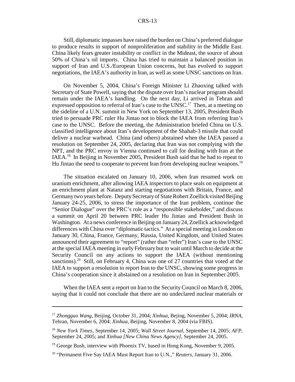Still, diplomatic impasses have raised the burden on China's preferred dialogue to produce results in support of nonproliferation and stability in the Middle East. China likely fears greater instability or conflict in the Mideast, the source of about 50% of China's oil imports. China has tried to maintain a balanced position in support of Iran and U.S./European Union concerns, but has evolved to support negotiations, the IAEA's authority in Iran, as well as some UNSC sanctions on Iran.

On November 5, 2004, China's Foreign Minister Li Zhaoxing talked with Secretary of State Powell, saying that the dispute over Iran's nuclear program should remain under the IAEA's handling. On the next day, Li arrived in Tehran and expressed opposition to referral of Iran's case to the UNSC.<sup>17</sup> Then, at a meeting on the sideline of a U.N. summit in New York on September 13, 2005, President Bush tried to persuade PRC ruler Hu Jintao not to block the IAEA from referring Iran's case to the UNSC. Before the meeting, the Administration briefed China on U.S. classified intelligence about Iran's development of the Shahab-3 missile that could deliver a nuclear warhead. China (and others) abstained when the IAEA passed a resolution on September 24, 2005, declaring that Iran was not complying with the NPT, and the PRC envoy in Vienna continued to call for dealing with Iran at the IAEA.18 In Beijing in November 2005, President Bush said that he had to repeat to Hu Jintao the need to cooperate to prevent Iran from developing nuclear weapons.<sup>19</sup>

The situation escalated on January 10, 2006, when Iran resumed work on uranium enrichment, after allowing IAEA inspectors to place seals on equipment at an enrichment plant at Natanz and starting negotiations with Britain, France, and Germany two years before. Deputy Secretary of State Robert Zoellick visited Beijing January 24-25, 2006, to stress the importance of the Iran problem, continue the "Senior Dialogue" over the PRC's role as a "responsible stakeholder," and discuss a summit on April 20 between PRC leader Hu Jintao and President Bush in Washington. At a news conference in Beijing on January 24, Zoellick acknowledged differences with China over "diplomatic tactics." At a special meeting in London on January 30, China, France, Germany, Russia, United Kingdom, and United States announced their agreement to "report" (rather than "refer") Iran's case to the UNSC at the special IAEA meeting in early February but to wait until March to decide at the Security Council on any actions to support the IAEA (without mentioning sanctions).<sup>20</sup> Still, on February 4, China was one of 27 countries that voted at the IAEA to support a resolution to report Iran to the UNSC, showing some progress in China's cooperation since it abstained on a resolution on Iran in September 2005.

When the IAEA sent a report on Iran to the Security Council on March 8, 2006, saying that it could not conclude that there are no undeclared nuclear materials or

<sup>17</sup> *Zhongguo Wang*, Beijing, October 31, 2004; *Xinhua*, Bejing, November 5, 2004; *IRNA*, Tehran, November 6, 2004; *Xinhua*, Beijing, November 8, 2004 (via FBIS).

<sup>18</sup> *New York Times*, September 14, 2005; *Wall Street Journal*, September 14, 2005; *AFP*, September 24, 2005; and *Xinhua [New China News Agency]*, September 24, 2005.

 $19$  George Bush, interview with Phoenix TV, based in Hong Kong, November 9, 2005.

<sup>20 &</sup>quot;Permanent Five Say IAEA Must Report Iran to U.N.," *Reuters*, January 31, 2006.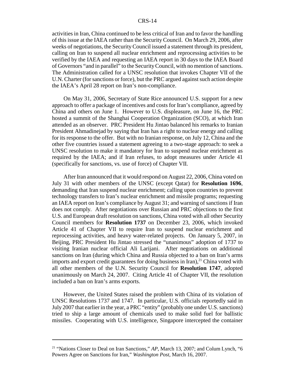activities in Iran, China continued to be less critical of Iran and to favor the handling of this issue at the IAEA rather than the Security Council. On March 29, 2006, after weeks of negotiations, the Security Council issued a statement through its president, calling on Iran to suspend all nuclear enrichment and reprocessing activities to be verified by the IAEA and requesting an IAEA report in 30 days to the IAEA Board of Governors "and in parallel" to the Security Council, with no mention of sanctions. The Administration called for a UNSC resolution that invokes Chapter VII of the U.N. Charter (for sanctions or force), but the PRC argued against such action despite the IAEA's April 28 report on Iran's non-compliance.

On May 31, 2006, Secretary of State Rice announced U.S. support for a new approach to offer a package of incentives and costs for Iran's compliance, agreed by China and others on June 1. However to U.S. displeasure, on June 16, the PRC hosted a summit of the Shanghai Cooperation Organization (SCO), at which Iran attended as an observer. PRC President Hu Jintao balanced his remarks to Iranian President Ahmadinejad by saying that Iran has a right to nuclear energy and calling for its response to the offer. But with no Iranian response, on July 12, China and the other five countries issued a statement agreeing to a two-stage approach: to seek a UNSC resolution to make it mandatory for Iran to suspend nuclear enrichment as required by the IAEA; and if Iran refuses, to adopt measures under Article 41 (specifically for sanctions, vs. use of force) of Chapter VII.

After Iran announced that it would respond on August 22, 2006, China voted on July 31 with other members of the UNSC (except Qatar) for **Resolution 1696**, demanding that Iran suspend nuclear enrichment; calling upon countries to prevent technology transfers to Iran's nuclear enrichment and missile programs; requesting an IAEA report on Iran's compliance by August 31; and warning of sanctions if Iran does not comply. After negotiations over Russian and PRC objections to the first U.S. and European draft resolution on sanctions, China voted with all other Security Council members for **Resolution 1737** on December 23, 2006, which invoked Article 41 of Chapter VII to require Iran to suspend nuclear enrichment and reprocessing activities, and heavy water-related projects. On January 5, 2007, in Beijing, PRC President Hu Jintao stressed the "unanimous" adoption of 1737 to visiting Iranian nuclear official Ali Larijani. After negotiations on additional sanctions on Iran (during which China and Russia objected to a ban on Iran's arms imports and export credit guarantees for doing business in Iran), $^{21}$  China voted with all other members of the U.N. Security Council for **Resolution 1747**, adopted unanimously on March 24, 2007. Citing Article 41 of Chapter VII, the resolution included a ban on Iran's arms exports.

However, the United States raised the problem with China of its violation of UNSC Resolutions 1737 and 1747. In particular, U.S. officials reportedly said in July 2007 that earlier in the year, a PRC "entity" (probably one under U.S. sanctions) tried to ship a large amount of chemicals used to make solid fuel for ballistic missiles. Cooperating with U.S. intelligence, Singapore intercepted the container

<sup>21 &</sup>quot;Nations Closer to Deal on Iran Sanctions," *AP*, March 13, 2007; and Colum Lynch, "6 Powers Agree on Sanctions for Iran," *Washington Post*, March 16, 2007.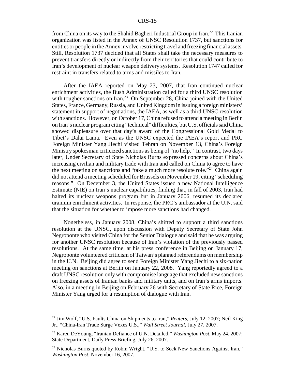from China on its way to the Shahid Bagheri Industrial Group in Iran.<sup>22</sup> This Iranian organization was listed in the Annex of UNSC Resolution 1737, but sanctions for entities or people in the Annex involve restricting travel and freezing financial assets. Still, Resolution 1737 decided that all States shall take the necessary measures to prevent transfers directly or indirectly from their territories that could contribute to Iran's development of nuclear weapon delivery systems. Resolution 1747 called for restraint in transfers related to arms and missiles to Iran.

After the IAEA reported on May 23, 2007, that Iran continued nuclear enrichment activities, the Bush Administration called for a third UNSC resolution with tougher sanctions on Iran.<sup>23</sup> On September 28, China joined with the United States, France, Germany, Russia, and United Kingdom in issuing a foreign ministers' statement in support of negotiations, the IAEA, as well as a third UNSC resolution with sanctions. However, on October 17, China refused to attend a meeting in Berlin on Iran's nuclear program citing "technical" difficulties, but U.S. officials said China showed displeasure over that day's award of the Congressional Gold Medal to Tibet's Dalai Lama. Even as the UNSC expected the IAEA's report and PRC Foreign Minister Yang Jiechi visited Tehran on November 13, China's Foreign Ministry spokesman criticized sanctions as being of "no help." In contrast, two days later, Under Secretary of State Nicholas Burns expressed concerns about China's increasing civilian and military trade with Iran and called on China to agree to have the next meeting on sanctions and "take a much more resolute role."<sup>24</sup> China again did not attend a meeting scheduled for Brussels on November 19, citing "scheduling reasons." On December 3, the United States issued a new National Intelligence Estimate (NIE) on Iran's nuclear capabilities, finding that, in fall of 2003, Iran had halted its nuclear weapons program but in January 2006, resumed its declared uranium enrichment activities. In response, the PRC's ambassador at the U.N. said that the situation for whether to impose more sanctions had changed.

Nonetheless, in January 2008, China's shifted to support a third sanctions resolution at the UNSC, upon discussion with Deputy Secretary of State John Negroponte who visited China for the Senior Dialogue and said that he was arguing for another UNSC resolution because of Iran's violation of the previously passed resolutions. At the same time, at his press conference in Beijing on January 17, Negroponte volunteered criticism of Taiwan's planned referendums on membership in the U.N. Beijing did agree to send Foreign Minister Yang Jiechi to a six-nation meeting on sanctions at Berlin on January 22, 2008. Yang reportedly agreed to a draft UNSC resolution only with compromise language that excluded new sanctions on freezing assets of Iranian banks and military units, and on Iran's arms imports. Also, in a meeting in Beijing on February 26 with Secretary of State Rice, Foreign Minister Yang urged for a resumption of dialogue with Iran.

<sup>22</sup> Jim Wolf, "U.S. Faults China on Shipments to Iran," *Reuters*, July 12, 2007; Neil King Jr., "China-Iran Trade Surge Vexes U.S.," *Wall Street Journal*, July 27, 2007.

<sup>23</sup> Karen DeYoung, "Iranian Defiance of U.N. Detailed," *Washington Post*, May 24, 2007; State Department, Daily Press Briefing, July 26, 2007.

<sup>&</sup>lt;sup>24</sup> Nicholas Burns quoted by Robin Wright, "U.S. to Seek New Sanctions Against Iran," *Washington Post*, November 16, 2007.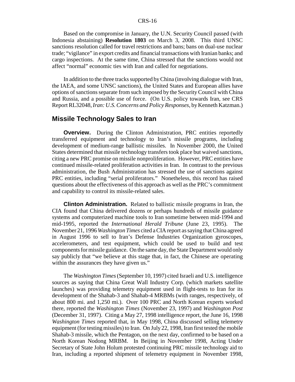Based on the compromise in January, the U.N. Security Council passed (with Indonesia abstaining) **Resolution 1803** on March 3, 2008. This third UNSC sanctions resolution called for travel restrictions and bans; bans on dual-use nuclear trade; "vigilance" in export credits and financial transactions with Iranian banks; and cargo inspections. At the same time, China stressed that the sanctions would not affect "normal" economic ties with Iran and called for negotiations.

In addition to the three tracks supported by China (involving dialogue with Iran, the IAEA, and some UNSC sanctions), the United States and European allies have options of sanctions separate from such imposed by the Security Council with China and Russia, and a possible use of force. (On U.S. policy towards Iran, see CRS Report RL32048, *Iran: U.S. Concerns and Policy Responses*, by Kenneth Katzman.)

#### **Missile Technology Sales to Iran**

**Overview.** During the Clinton Administration, PRC entities reportedly transferred equipment and technology to Iran's missile programs, including development of medium-range ballistic missiles. In November 2000, the United States determined that missile technology transfers took place but waived sanctions, citing a new PRC promise on missile nonproliferation. However, PRC entities have continued missile-related proliferation activities in Iran. In contrast to the previous administration, the Bush Administration has stressed the use of sanctions against PRC entities, including "serial proliferators." Nonetheless, this record has raised questions about the effectiveness of this approach as well as the PRC's commitment and capability to control its missile-related sales.

**Clinton Administration.** Related to ballistic missile programs in Iran, the CIA found that China delivered dozens or perhaps hundreds of missile guidance systems and computerized machine tools to Iran sometime between mid-1994 and mid-1995, reported the *International Herald Tribune* (June 23, 1995). The November 21, 1996 *Washington Times* cited a CIA report as saying that China agreed in August 1996 to sell to Iran's Defense Industries Organization gyroscopes, accelerometers, and test equipment, which could be used to build and test components for missile guidance. On the same day, the State Department would only say publicly that "we believe at this stage that, in fact, the Chinese are operating within the assurances they have given us."

The *Washington Times* (September 10, 1997) cited Israeli and U.S. intelligence sources as saying that China Great Wall Industry Corp. (which markets satellite launches) was providing telemetry equipment used in flight-tests to Iran for its development of the Shahab-3 and Shahab-4 MRBMs (with ranges, respectively, of about 800 mi. and 1,250 mi.). Over 100 PRC and North Korean experts worked there, reported the *Washington Times* (November 23, 1997) and *Washington Post* (December 31, 1997). Citing a May 27, 1998 intelligence report, the June 16, 1998 *Washington Times* reported that, in May 1998, China discussed selling telemetry equipment (for testing missiles) to Iran. On July 22, 1998, Iran first tested the mobile Shahab-3 missile, which the Pentagon, on the next day, confirmed to be based on a North Korean Nodong MRBM. In Beijing in November 1998, Acting Under Secretary of State John Holum protested continuing PRC missile technology aid to Iran, including a reported shipment of telemetry equipment in November 1998,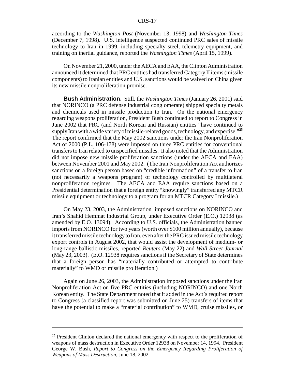according to the *Washington Post* (November 13, 1998) and *Washington Times* (December 7, 1998). U.S. intelligence suspected continued PRC sales of missile technology to Iran in 1999, including specialty steel, telemetry equipment, and training on inertial guidance, reported the *Washington Times* (April 15, 1999).

On November 21, 2000, under the AECA and EAA, the Clinton Administration announced it determined that PRC entities had transferred Category II items (missile components) to Iranian entities and U.S. sanctions would be waived on China given its new missile nonproliferation promise.

**Bush Administration.** Still, the *Washington Times* (January 26, 2001) said that NORINCO (a PRC defense industrial conglomerate) shipped specialty metals and chemicals used in missile production to Iran. On the national emergency regarding weapons proliferation, President Bush continued to report to Congress in June 2002 that PRC (and North Korean and Russian) entities "have continued to supply Iran with a wide variety of missile-related goods, technology, and expertise."<sup>25</sup> The report confirmed that the May 2002 sanctions under the Iran Nonproliferation Act of 2000 (P.L. 106-178) were imposed on three PRC entities for conventional transfers to Iran related to unspecified missiles. It also noted that the Administration did not impose new missile proliferation sanctions (under the AECA and EAA) between November 2001 and May 2002. (The Iran Nonproliferation Act authorizes sanctions on a foreign person based on "credible information" of a transfer to Iran (not necessarily a weapons program) of technology controlled by multilateral nonproliferation regimes. The AECA and EAA require sanctions based on a Presidential determination that a foreign entity "knowingly" transferred any MTCR missile equipment or technology to a program for an MTCR Category I missile.)

On May 23, 2003, the Administration imposed sanctions on NORINCO and Iran's Shahid Hemmat Industrial Group, under Executive Order (E.O.) 12938 (as amended by E.O. 13094). According to U.S. officials, the Administration banned imports from NORINCO for two years (worth over \$100 million annually), because it transferred missile technology to Iran, even after the PRC issued missile technology export controls in August 2002, that would assist the development of medium- or long-range ballistic missiles, reported *Reuters* (May 22) and *Wall Street Journal* (May 23, 2003). (E.O. 12938 requires sanctions if the Secretary of State determines that a foreign person has "materially contributed or attempted to contribute materially" to WMD or missile proliferation.)

Again on June 26, 2003, the Administration imposed sanctions under the Iran Nonproliferation Act on five PRC entities (including NORINCO) and one North Korean entity. The State Department noted that it added in the Act's required report to Congress (a classified report was submitted on June 25) transfers of items that have the potential to make a "material contribution" to WMD, cruise missiles, or

<sup>&</sup>lt;sup>25</sup> President Clinton declared the national emergency with respect to the proliferation of weapons of mass destruction in Executive Order 12938 on November 14, 1994. President George W. Bush, *Report to Congress on the Emergency Regarding Proliferation of Weapons of Mass Destruction*, June 18, 2002.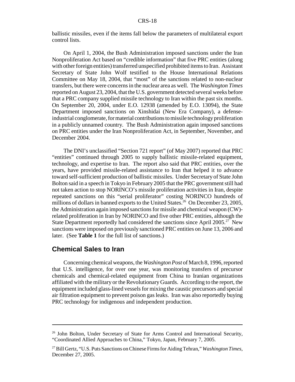ballistic missiles, even if the items fall below the parameters of multilateral export control lists.

On April 1, 2004, the Bush Administration imposed sanctions under the Iran Nonproliferation Act based on "credible information" that five PRC entities (along with other foreign entities) transferred unspecified prohibited items to Iran. Assistant Secretary of State John Wolf testified to the House International Relations Committee on May 18, 2004, that "most" of the sanctions related to non-nuclear transfers, but there were concerns in the nuclear area as well. The *Washington Times* reported on August 23, 2004, that the U.S. government detected several weeks before that a PRC company supplied missile technology to Iran within the past six months. On September 20, 2004, under E.O. 12938 (amended by E.O. 13094), the State Department imposed sanctions on Xinshidai (New Era Company), a defenseindustrial conglomerate, for material contributions to missile technology proliferation in a publicly unnamed country. The Bush Administration again imposed sanctions on PRC entities under the Iran Nonproliferation Act, in September, November, and December 2004.

The DNI's unclassified "Section 721 report" (of May 2007) reported that PRC "entities" continued through 2005 to supply ballistic missile-related equipment, technology, and expertise to Iran. The report also said that PRC entities, over the years, have provided missile-related assistance to Iran that helped it to advance toward self-sufficient production of ballistic missiles. Under Secretary of State John Bolton said in a speech in Tokyo in February 2005 that the PRC government still had not taken action to stop NORINCO's missile proliferation activities in Iran, despite repeated sanctions on this "serial proliferator" costing NORINCO hundreds of millions of dollars in banned exports to the United States.<sup>26</sup> On December 23, 2005, the Administration again imposed sanctions for missile and chemical weapon (CW) related proliferation in Iran by NORINCO and five other PRC entities, although the State Department reportedly had considered the sanctions since April 2005.<sup>27</sup> New sanctions were imposed on previously sanctioned PRC entities on June 13, 2006 and later. (See **Table 1** for the full list of sanctions.)

#### **Chemical Sales to Iran**

Concerning chemical weapons, the *Washington Post* of March 8, 1996, reported that U.S. intelligence, for over one year, was monitoring transfers of precursor chemicals and chemical-related equipment from China to Iranian organizations affiliated with the military or the Revolutionary Guards. According to the report, the equipment included glass-lined vessels for mixing the caustic precursors and special air filtration equipment to prevent poison gas leaks. Iran was also reportedly buying PRC technology for indigenous and independent production.

<sup>&</sup>lt;sup>26</sup> John Bolton, Under Secretary of State for Arms Control and International Security, "Coordinated Allied Approaches to China," Tokyo, Japan, February 7, 2005.

<sup>27</sup> Bill Gertz, "U.S. Puts Sanctions on Chinese Firms for Aiding Tehran," *Washington Times*, December 27, 2005.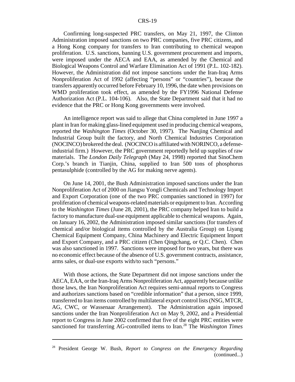Confirming long-suspected PRC transfers, on May 21, 1997, the Clinton Administration imposed sanctions on two PRC companies, five PRC citizens, and a Hong Kong company for transfers to Iran contributing to chemical weapon proliferation. U.S. sanctions, banning U.S. government procurement and imports, were imposed under the AECA and EAA, as amended by the Chemical and Biological Weapons Control and Warfare Elimination Act of 1991 (P.L. 102-182). However, the Administration did not impose sanctions under the Iran-Iraq Arms Nonproliferation Act of 1992 (affecting "persons" or "countries"), because the transfers apparently occurred before February 10, 1996, the date when provisions on WMD proliferation took effect, as amended by the FY1996 National Defense Authorization Act (P.L. 104-106). Also, the State Department said that it had no evidence that the PRC or Hong Kong governments were involved.

An intelligence report was said to allege that China completed in June 1997 a plant in Iran for making glass-lined equipment used in producing chemical weapons, reported the *Washington Times* (October 30, 1997). The Nanjing Chemical and Industrial Group built the factory, and North Chemical Industries Corporation (NOCINCO) brokered the deal. (NOCINCO is affiliated with NORINCO, a defenseindustrial firm.) However, the PRC government reportedly held up supplies of raw materials. The *London Daily Telegraph* (May 24, 1998) reported that SinoChem Corp.'s branch in Tianjin, China, supplied to Iran 500 tons of phosphorus pentasulphide (controlled by the AG for making nerve agents).

On June 14, 2001, the Bush Administration imposed sanctions under the Iran Nonproliferation Act of 2000 on Jiangsu Yongli Chemicals and Technology Import and Export Corporation (one of the two PRC companies sanctioned in 1997) for proliferation of chemical weapons-related materials or equipment to Iran. According to the *Washington Times* (June 28, 2001), the PRC company helped Iran to build a factory to manufacture dual-use equipment applicable to chemical weapons. Again, on January 16, 2002, the Administration imposed similar sanctions (for transfers of chemical and/or biological items controlled by the Australia Group) on Liyang Chemical Equipment Company, China Machinery and Electric Equipment Import and Export Company, and a PRC citizen (Chen Qingchang, or Q.C. Chen). Chen was also sanctioned in 1997. Sanctions were imposed for two years, but there was no economic effect because of the absence of U.S. government contracts, assistance, arms sales, or dual-use exports with/to such "persons."

With those actions, the State Department did not impose sanctions under the AECA, EAA, or the Iran-Iraq Arms Nonproliferation Act, apparently because unlike those laws, the Iran Nonproliferation Act requires semi-annual reports to Congress and authorizes sanctions based on "credible information" that a person, since 1999, transferred to Iran items controlled by multilateral export control lists (NSG, MTCR, AG, CWC, or Wassenaar Arrangement). The Administration again imposed sanctions under the Iran Nonproliferation Act on May 9, 2002, and a Presidential report to Congress in June 2002 confirmed that five of the eight PRC entities were sanctioned for transferring AG-controlled items to Iran.28 The *Washington Times*

<sup>28</sup> President George W. Bush, *Report to Congress on the Emergency Regarding* (continued...)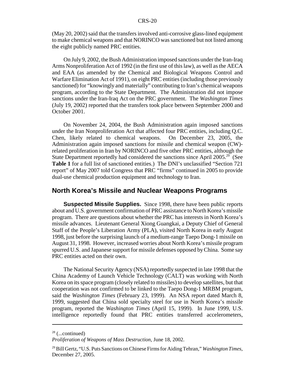(May 20, 2002) said that the transfers involved anti-corrosive glass-lined equipment to make chemical weapons and that NORINCO was sanctioned but not listed among the eight publicly named PRC entities.

On July 9, 2002, the Bush Administration imposed sanctions under the Iran-Iraq Arms Nonproliferation Act of 1992 (in the first use of this law), as well as the AECA and EAA (as amended by the Chemical and Biological Weapons Control and Warfare Elimination Act of 1991), on eight PRC entities (including those previously sanctioned) for "knowingly and materially" contributing to Iran's chemical weapons program, according to the State Department. The Administration did not impose sanctions under the Iran-Iraq Act on the PRC government. The *Washington Times* (July 19, 2002) reported that the transfers took place between September 2000 and October 2001.

On November 24, 2004, the Bush Administration again imposed sanctions under the Iran Nonproliferation Act that affected four PRC entities, including Q.C. Chen, likely related to chemical weapons. On December 23, 2005, the Administration again imposed sanctions for missile and chemical weapon (CW) related proliferation in Iran by NORINCO and five other PRC entities, although the State Department reportedly had considered the sanctions since April 2005.<sup>29</sup> (See **Table 1** for a full list of sanctioned entities.) The DNI's unclassified "Section 721 report" of May 2007 told Congress that PRC "firms" continued in 2005 to provide dual-use chemical production equipment and technology to Iran.

#### **North Korea's Missile and Nuclear Weapons Programs**

**Suspected Missile Supplies.** Since 1998, there have been public reports about and U.S. government confirmation of PRC assistance to North Korea's missile program. There are questions about whether the PRC has interests in North Korea's missile advances. Lieutenant General Xiong Guangkai, a Deputy Chief of General Staff of the People's Liberation Army (PLA), visited North Korea in early August 1998, just before the surprising launch of a medium-range Taepo Dong-1 missile on August 31, 1998. However, increased worries about North Korea's missile program spurred U.S. and Japanese support for missile defenses opposed by China. Some say PRC entities acted on their own.

The National Security Agency (NSA) reportedly suspected in late 1998 that the China Academy of Launch Vehicle Technology (CALT) was working with North Korea on its space program (closely related to missiles) to develop satellites, but that cooperation was not confirmed to be linked to the Taepo Dong-1 MRBM program, said the *Washington Times* (February 23, 1999). An NSA report dated March 8, 1999, suggested that China sold specialty steel for use in North Korea's missile program, reported the *Washington Times* (April 15, 1999). In June 1999, U.S. intelligence reportedly found that PRC entities transferred accelerometers,

 $28$  (...continued)

*Proliferation of Weapons of Mass Destruction*, June 18, 2002.

<sup>29</sup> Bill Gertz, "U.S. Puts Sanctions on Chinese Firms for Aiding Tehran," *Washington Times*, December 27, 2005.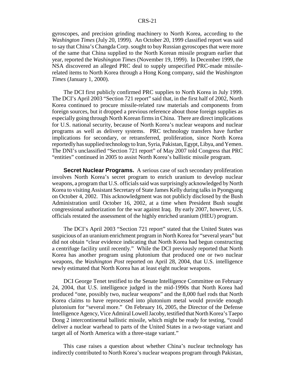gyroscopes, and precision grinding machinery to North Korea, according to the *Washington Times* (July 20, 1999). An October 20, 1999 classified report was said to say that China's Changda Corp. sought to buy Russian gyroscopes that were more of the same that China supplied to the North Korean missile program earlier that year, reported the *Washington Times* (November 19, 1999). In December 1999, the NSA discovered an alleged PRC deal to supply unspecified PRC-made missilerelated items to North Korea through a Hong Kong company, said the *Washington Times* (January 1, 2000).

The DCI first publicly confirmed PRC supplies to North Korea in July 1999. The DCI's April 2003 "Section 721 report" said that, in the first half of 2002, North Korea continued to procure missile-related raw materials and components from foreign sources, but it dropped a previous reference about those foreign supplies as especially going through North Korean firms in China. There are direct implications for U.S. national security, because of North Korea's nuclear weapons and nuclear programs as well as delivery systems. PRC technology transfers have further implications for secondary, or retransferred, proliferation, since North Korea reportedly has supplied technology to Iran, Syria, Pakistan, Egypt, Libya, and Yemen. The DNI's unclassified "Section 721 report" of May 2007 told Congress that PRC "entities" continued in 2005 to assist North Korea's ballistic missile program.

**Secret Nuclear Programs.** A serious case of such secondary proliferation involves North Korea's secret program to enrich uranium to develop nuclear weapons, a program that U.S. officials said was surprisingly acknowledged by North Korea to visiting Assistant Secretary of State James Kelly during talks in Pyongyang on October 4, 2002. This acknowledgment was not publicly disclosed by the Bush Administration until October 16, 2002, at a time when President Bush sought congressional authorization for the war against Iraq. By early 2007, however, U.S. officials restated the assessment of the highly enriched uranium (HEU) program.

The DCI's April 2003 "Section 721 report" stated that the United States was suspicious of an uranium enrichment program in North Korea for "several years" but did not obtain "clear evidence indicating that North Korea had begun constructing a centrifuge facility until recently." While the DCI previously reported that North Korea has another program using plutonium that produced one or two nuclear weapons, the *Washington Post* reported on April 28, 2004, that U.S. intelligence newly estimated that North Korea has at least eight nuclear weapons.

DCI George Tenet testified to the Senate Intelligence Committee on February 24, 2004, that U.S. intelligence judged in the mid-1990s that North Korea had produced "one, possibly two, nuclear weapons" and the 8,000 fuel rods that North Korea claims to have reprocessed into plutonium metal would provide enough plutonium for "several more." On February 16, 2005, the Director of the Defense Intelligence Agency, Vice Admiral Lowell Jacoby, testified that North Korea's Taepo Dong 2 intercontinental ballistic missile, which might be ready for testing, "could deliver a nuclear warhead to parts of the United States in a two-stage variant and target all of North America with a three-stage variant."

This case raises a question about whether China's nuclear technology has indirectly contributed to North Korea's nuclear weapons program through Pakistan,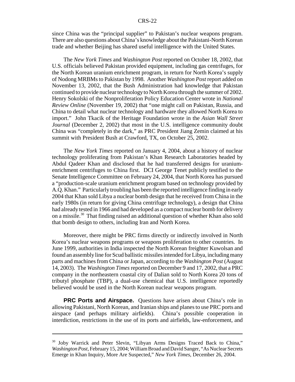since China was the "principal supplier" to Pakistan's nuclear weapons program. There are also questions about China's knowledge about the Pakistani-North Korean trade and whether Beijing has shared useful intelligence with the United States.

The *New York Times* and *Washington Post* reported on October 18, 2002, that U.S. officials believed Pakistan provided equipment, including gas centrifuges, for the North Korean uranium enrichment program, in return for North Korea's supply of Nodong MRBMs to Pakistan by 1998. Another *Washington Post* report added on November 13, 2002, that the Bush Administration had knowledge that Pakistan continued to provide nuclear technology to North Korea through the summer of 2002. Henry Sokolski of the Nonproliferation Policy Education Center wrote in *National Review Online* (November 19, 2002) that "one might call on Pakistan, Russia, and China to detail what nuclear technology and hardware they allowed North Korea to import." John Tkacik of the Heritage Foundation wrote in the *Asian Wall Street Journal* (December 2, 2002) that most in the U.S. intelligence community doubt China was "completely in the dark," as PRC President Jiang Zemin claimed at his summit with President Bush at Crawford, TX, on October 25, 2002.

The *New York Times* reported on January 4, 2004, about a history of nuclear technology proliferating from Pakistan's Khan Research Laboratories headed by Abdul Qadeer Khan and disclosed that he had transferred designs for uraniumenrichment centrifuges to China first. DCI George Tenet publicly testified to the Senate Intelligence Committee on February 24, 2004, that North Korea has pursued a "production-scale uranium enrichment program based on technology provided by A.Q. Khan." Particularly troubling has been the reported intelligence finding in early 2004 that Khan sold Libya a nuclear bomb design that he received from China in the early 1980s (in return for giving China centrifuge technology), a design that China had already tested in 1966 and had developed as a compact nuclear bomb for delivery on a missile.30 That finding raised an additional question of whether Khan also sold that bomb design to others, including Iran and North Korea.

Moreover, there might be PRC firms directly or indirectly involved in North Korea's nuclear weapons programs or weapons proliferation to other countries. In June 1999, authorities in India inspected the North Korean freighter Kuwolsan and found an assembly line for Scud ballistic missiles intended for Libya, including many parts and machines from China or Japan, according to the *Washington Post* (August 14, 2003). The *Washington Times* reported on December 9 and 17, 2002, that a PRC company in the northeastern coastal city of Dalian sold to North Korea 20 tons of tributyl phosphate (TBP), a dual-use chemical that U.S. intelligence reportedly believed would be used in the North Korean nuclear weapons program.

**PRC Ports and Airspace.** Questions have arisen about China's role in allowing Pakistani, North Korean, and Iranian ships and planes to use PRC ports and airspace (and perhaps military airfields). China's possible cooperation in interdiction, restrictions in the use of its ports and airfields, law-enforcement, and

<sup>&</sup>lt;sup>30</sup> Joby Warrick and Peter Slevin, "Libyan Arms Designs Traced Back to China," *Washington Post*, February 15, 2004; William Broad and David Sanger, "As Nuclear Secrets Emerge in Khan Inquiry, More Are Suspected," *New York Times*, December 26, 2004.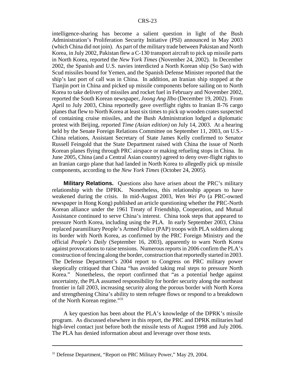intelligence-sharing has become a salient question in light of the Bush Administration's Proliferation Security Initiative (PSI) announced in May 2003 (which China did not join). As part of the military trade between Pakistan and North Korea, in July 2002, Pakistan flew a C-130 transport aircraft to pick up missile parts in North Korea, reported the *New York Times* (November 24, 2002). In December 2002, the Spanish and U.S. navies interdicted a North Korean ship (So San) with Scud missiles bound for Yemen, and the Spanish Defense Minister reported that the ship's last port of call was in China. In addition, an Iranian ship stopped at the Tianjin port in China and picked up missile components before sailing on to North Korea to take delivery of missiles and rocket fuel in February and November 2002, reported the South Korean newspaper, *Joong Ang Ilbo* (December 19, 2002). From April to July 2003, China reportedly gave overflight rights to Iranian Il-76 cargo planes that flew to North Korea at least six times to pick up wooden crates suspected of containing cruise missiles, and the Bush Administration lodged a diplomatic protest with Beijing, reported *Time (Asian edition)* on July 14, 2003. At a hearing held by the Senate Foreign Relations Committee on September 11, 2003, on U.S.- China relations, Assistant Secretary of State James Kelly confirmed to Senator Russell Feingold that the State Department raised with China the issue of North Korean planes flying through PRC airspace or making refueling stops in China. In June 2005, China (and a Central Asian country) agreed to deny over-flight rights to an Iranian cargo plane that had landed in North Korea to allegedly pick up missile components, according to the *New York Times* (October 24, 2005).

**Military Relations.** Questions also have arisen about the PRC's military relationship with the DPRK. Nonetheless, this relationship appears to have weakened during the crisis. In mid-August 2003, *Wen Wei Po* (a PRC-owned newspaper in Hong Kong) published an article questioning whether the PRC-North Korean alliance under the 1961 Treaty of Friendship, Cooperation, and Mutual Assistance continued to serve China's interest. China took steps that appeared to pressure North Korea, including using the PLA. In early September 2003, China replaced paramilitary People's Armed Police (PAP) troops with PLA soldiers along its border with North Korea, as confirmed by the PRC Foreign Ministry and the official *People's Daily* (September 16, 2003), apparently to warn North Korea against provocations to raise tensions. Numerous reports in 2006 confirm the PLA's construction of fencing along the border, construction that reportedly started in 2003. The Defense Department's 2004 report to Congress on PRC military power skeptically critiqued that China "has avoided taking real steps to pressure North Korea." Nonetheless, the report confirmed that "as a potential hedge against uncertainty, the PLA assumed responsibility for border security along the northeast frontier in fall 2003, increasing security along the porous border with North Korea and strengthening China's ability to stem refugee flows or respond to a breakdown of the North Korean regime."31

A key question has been about the PLA's knowledge of the DPRK's missile program. As discussed elsewhere in this report, the PRC and DPRK militaries had high-level contact just before both the missile tests of August 1998 and July 2006. The PLA has denied information about and leverage over those tests.

<sup>&</sup>lt;sup>31</sup> Defense Department, "Report on PRC Military Power," May 29, 2004.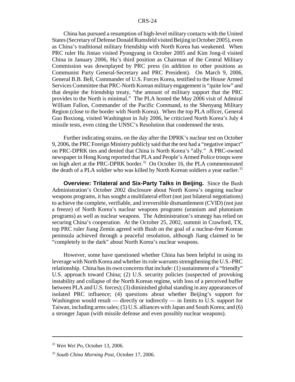China has pursued a resumption of high-level military contacts with the United States (Secretary of Defense Donald Rumsfeld visited Beijing in October 2005), even as China's traditional military friendship with North Korea has weakened. When PRC ruler Hu Jintao visited Pyongyang in October 2005 and Kim Jong-il visited China in January 2006, Hu's third position as Chairman of the Central Military Commission was downplayed by PRC press (in addition to other positions as Communist Party General-Secretary and PRC President). On March 9, 2006, General B.B. Bell, Commander of U.S. Forces Korea, testified to the House Armed Services Committee that PRC-North Korean military engagement is "quite low" and that despite the friendship treaty, "the amount of military support that the PRC provides to the North is minimal." The PLA hosted the May 2006 visit of Admiral William Fallon, Commander of the Pacific Command, to the Shenyang Military Region (close to the border with North Korea). When the top PLA officer, General Guo Boxiong, visited Washington in July 2006, he criticized North Korea's July 4 missile tests, even citing the UNSC's Resolution that condemned the tests.

Further indicating strains, on the day after the DPRK's nuclear test on October 9, 2006, the PRC Foreign Ministry publicly said that the test had a "negative impact" on PRC-DPRK ties and denied that China is North Korea's "ally." A PRC-owned newspaper in Hong Kong reported that PLA and People's Armed Police troops were on high alert at the PRC-DPRK border.<sup>32</sup> On October 16, the PLA commemorated the death of a PLA soldier who was killed by North Korean soldiers a year earlier.<sup>33</sup>

**Overview: Trilateral and Six-Party Talks in Beijing.** Since the Bush Administration's October 2002 disclosure about North Korea's ongoing nuclear weapons programs, it has sought a multilateral effort (not just bilateral negotiations) to achieve the complete, verifiable, and irreversible dismantlement (CVID) (not just a freeze) of North Korea's nuclear weapons programs (uranium and plutonium programs) as well as nuclear weapons. The Administration's strategy has relied on securing China's cooperation. At the October 25, 2002, summit in Crawford, TX, top PRC ruler Jiang Zemin agreed with Bush on the goal of a nuclear-free Korean peninsula achieved through a peaceful resolution, although Jiang claimed to be "completely in the dark" about North Korea's nuclear weapons.

However, some have questioned whether China has been helpful in using its leverage with North Korea and whether its role warrants strengthening the U.S.-PRC relationship. China has its own concerns that include: (1) sustainment of a "friendly" U.S. approach toward China; (2) U.S. security policies (suspected of provoking instability and collapse of the North Korean regime, with loss of a perceived buffer between PLA and U.S. forces); (3) diminished global standing in any appearances of isolated PRC influence; (4) questions about whether Beijing's support for Washington would result — directly or indirectly — in limits to U.S. support for Taiwan, including arms sales; (5) U.S. alliances with Japan and South Korea; and (6) a stronger Japan (with missile defense and even possibly nuclear weapons).

<sup>32</sup> *Wen Wei Po*, October 13, 2006.

<sup>33</sup> *South China Morning Post*, October 17, 2006.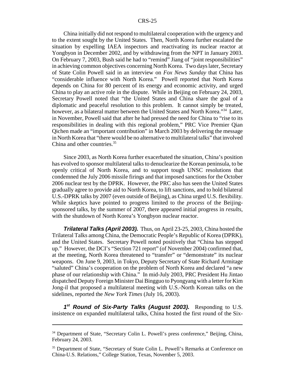China initially did not respond to multilateral cooperation with the urgency and to the extent sought by the United States. Then, North Korea further escalated the situation by expelling IAEA inspectors and reactivating its nuclear reactor at Yongbyon in December 2002, and by withdrawing from the NPT in January 2003. On February 7, 2003, Bush said he had to "remind" Jiang of "joint responsibilities" in achieving common objectives concerning North Korea. Two days later, Secretary of State Colin Powell said in an interview on *Fox News Sunday* that China has "considerable influence with North Korea." Powell reported that North Korea depends on China for 80 percent of its energy and economic activity, and urged China to play an active role in the dispute. While in Beijing on February 24, 2003, Secretary Powell noted that "the United States and China share the goal of a diplomatic and peaceful resolution to this problem. It cannot simply be treated, however, as a bilateral matter between the United States and North Korea."<sup>34</sup> Later, in November, Powell said that after he had pressed the need for China to "rise to its responsibilities in dealing with this regional problem," PRC Vice Premier Qian Qichen made an "important contribution" in March 2003 by delivering the message in North Korea that "there would be no alternative to multilateral talks" that involved China and other countries.<sup>35</sup>

Since 2003, as North Korea further exacerbated the situation, China's position has evolved to sponsor multilateral talks to denuclearize the Korean peninsula, to be openly critical of North Korea, and to support tough UNSC resolutions that condemned the July 2006 missile firings and that imposed sanctions for the October 2006 nuclear test by the DPRK. However, the PRC also has seen the United States gradually agree to provide aid to North Korea, to lift sanctions, and to hold bilateral U.S.-DPRK talks by 2007 (even outside of Beijing), as China urged U.S. flexibility. While skeptics have pointed to progress limited to the *process* of the Beijingsponsored talks, by the summer of 2007, there appeared initial progress in *results*, with the shutdown of North Korea's Yongbyon nuclear reactor.

*Trilateral Talks (April 2003).* Thus, on April 23-25, 2003, China hosted the Trilateral Talks among China, the Democratic People's Republic of Korea (DPRK), and the United States. Secretary Powell noted positively that "China has stepped up." However, the DCI's "Section 721 report" (of November 2004) confirmed that, at the meeting, North Korea threatened to "transfer" or "demonstrate" its nuclear weapons. On June 9, 2003, in Tokyo, Deputy Secretary of State Richard Armitage "saluted" China's cooperation on the problem of North Korea and declared "a new phase of our relationship with China." In mid-July 2003, PRC President Hu Jintao dispatched Deputy Foreign Minister Dai Bingguo to Pyongyang with a letter for Kim Jong-il that proposed a multilateral meeting with U.S.-North Korean talks on the sidelines, reported the *New York Times* (July 16, 2003).

*1st Round of Six-Party Talks (August 2003).* Responding to U.S. insistence on expanded multilateral talks, China hosted the first round of the Six-

<sup>&</sup>lt;sup>34</sup> Department of State, "Secretary Colin L. Powell's press conference," Beijing, China, February 24, 2003.

<sup>&</sup>lt;sup>35</sup> Department of State, "Secretary of State Colin L. Powell's Remarks at Conference on China-U.S. Relations," College Station, Texas, November 5, 2003.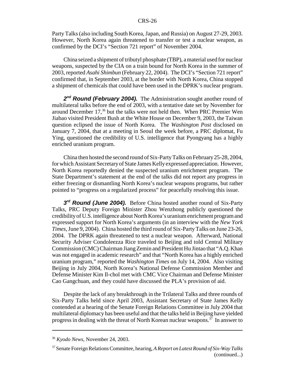Party Talks (also including South Korea, Japan, and Russia) on August 27-29, 2003. However, North Korea again threatened to transfer or test a nuclear weapon, as confirmed by the DCI's "Section 721 report" of November 2004.

China seized a shipment of tributyl phosphate (TBP), a material used for nuclear weapons, suspected by the CIA on a train bound for North Korea in the summer of 2003, reported *Asahi Shimbun* (February 22, 2004). The DCI's "Section 721 report" confirmed that, in September 2003, at the border with North Korea, China stopped a shipment of chemicals that could have been used in the DPRK's nuclear program.

2<sup>nd</sup> Round (February 2004). The Administration sought another round of multilateral talks before the end of 2003, with a tentative date set by November for around December 17,<sup>36</sup> but the talks were not held then. When PRC Premier Wen Jiabao visited President Bush at the White House on December 9, 2003, the Taiwan question eclipsed the issue of North Korea. The *Washington Post* disclosed on January 7, 2004, that at a meeting in Seoul the week before, a PRC diplomat, Fu Ying, questioned the credibility of U.S. intelligence that Pyongyang has a highly enriched uranium program.

China then hosted the second round of Six-Party Talks on February 25-28, 2004, for which Assistant Secretary of State James Kelly expressed appreciation. However, North Korea reportedly denied the suspected uranium enrichment program. The State Department's statement at the end of the talks did not report any progress in either freezing or dismantling North Korea's nuclear weapons programs, but rather pointed to "progress on a regularized process" for peacefully resolving this issue.

*3rd Round (June 2004).* Before China hosted another round of Six-Party Talks, PRC Deputy Foreign Minister Zhou Wenzhong publicly questioned the credibility of U.S. intelligence about North Korea's uranium enrichment program and expressed support for North Korea's arguments (in an interview with the *New York Times*, June 9, 2004). China hosted the third round of Six-Party Talks on June 23-26, 2004. The DPRK again threatened to test a nuclear weapon. Afterward, National Security Adviser Condoleezza Rice traveled to Beijing and told Central Military Commission (CMC) Chairman Jiang Zemin and President Hu Jintao that "A.Q. Khan was not engaged in academic research" and that "North Korea has a highly enriched uranium program," reported the *Washington Times* on July 14, 2004. Also visiting Beijing in July 2004, North Korea's National Defense Commission Member and Defense Minister Kim Il-chol met with CMC Vice Chairman and Defense Minister Cao Gangchuan, and they could have discussed the PLA's provision of aid.

Despite the lack of any breakthrough in the Trilateral Talks and three rounds of Six-Party Talks held since April 2003, Assistant Secretary of State James Kelly contended at a hearing of the Senate Foreign Relations Committee in July 2004 that multilateral diplomacy has been useful and that the talks held in Beijing have yielded progress in dealing with the threat of North Korean nuclear weapons.<sup> $37$ </sup> In answer to

<sup>36</sup> *Kyodo News*, November 24, 2003.

<sup>37</sup> Senate Foreign Relations Committee, hearing, *A Report on Latest Round of Six-Way Talks* (continued...)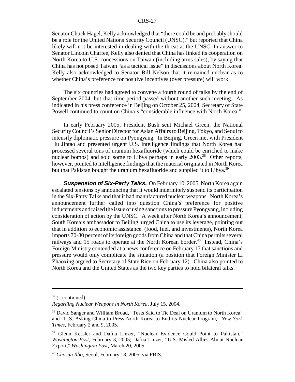Senator Chuck Hagel, Kelly acknowledged that "there could be and probably should be a role for the United Nations Security Council (UNSC)," but reported that China likely will not be interested in dealing with the threat at the UNSC. In answer to Senator Lincoln Chaffee, Kelly also denied that China has linked its cooperation on North Korea to U.S. concessions on Taiwan (including arms sales), by saying that China has not posed Taiwan "as a tactical issue" in discussions about North Korea. Kelly also acknowledged to Senator Bill Nelson that it remained unclear as to whether China's preference for positive incentives (over pressure) will work.

The six countries had agreed to convene a fourth round of talks by the end of September 2004, but that time period passed without another such meeting. As indicated in his press conference in Beijing on October 25, 2004, Secretary of State Powell continued to count on China's "considerable influence with North Korea."

In early February 2005, President Bush sent Michael Green, the National Security Council's Senior Director for Asian Affairs to Beijing, Tokyo, and Seoul to intensify diplomatic pressure on Pyongyang. In Beijing, Green met with President Hu Jintao and presented urgent U.S. intelligence findings that North Korea had processed several tons of uranium hexafluoride (which could be enriched to make nuclear bombs) and sold some to Libya perhaps in early 2003.<sup>38</sup> Other reports, however, pointed to intelligence findings that the material originated in North Korea but that Pakistan bought the uranium hexafluoride and supplied it to Libya.<sup>39</sup>

**Suspension of Six-Party Talks.** On February 10, 2005, North Korea again escalated tensions by announcing that it would indefinitely suspend its participation in the Six-Party Talks and that it had manufactured nuclear weapons. North Korea's announcement further called into question China's preference for positive inducements and raised the issue of using sanctions to pressure Pyongyang, including consideration of action by the UNSC. A week after North Korea's announcement, South Korea's ambassador to Beijing urged China to use its leverage, pointing out that in addition to economic assistance (food, fuel, and investments), North Korea imports 70-80 percent of its foreign goods from China and that China permits several railways and 15 roads to operate at the North Korean border.<sup>40</sup> Instead, China's Foreign Ministry contended at a news conference on February 17 that sanctions and pressure would only complicate the situation (a position that Foreign Minister Li Zhaoxing argued to Secretary of State Rice on February 12). China also pointed to North Korea and the United States as the two key parties to hold bilateral talks.

 $37$  (...continued)

*Regarding Nuclear Weapons in North Korea,* July 15, 2004.

<sup>&</sup>lt;sup>38</sup> David Sanger and William Broad, "Tests Said to Tie Deal on Uranium to North Korea" and "U.S. Asking China to Press North Korea to End its Nuclear Program," *New York Times*, February 2 and 9, 2005.

<sup>&</sup>lt;sup>39</sup> Glenn Kessler and Dafna Linzer, "Nuclear Evidence Could Point to Pakistan," *Washington Post*, February 3, 2005; Dafna Linzer, "U.S. Misled Allies About Nuclear Export," *Washington Post*, March 20, 2005.

<sup>40</sup> *Chosun Ilbo*, Seoul, February 18, 2005, via FBIS.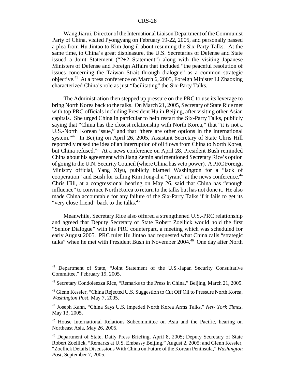Wang Jiarui, Director of the International Liaison Department of the Communist Party of China, visited Pyongyang on February 19-22, 2005, and personally passed a plea from Hu Jintao to Kim Jong-il about resuming the Six-Party Talks. At the same time, to China's great displeasure, the U.S. Secretaries of Defense and State issued a Joint Statement ("2+2 Statement") along with the visiting Japanese Ministers of Defense and Foreign Affairs that included "the peaceful resolution of issues concerning the Taiwan Strait through dialogue" as a common strategic objective.41 At a press conference on March 6, 2005, Foreign Minister Li Zhaoxing characterized China's role as just "facilitating" the Six-Party Talks.

The Administration then stepped up pressure on the PRC to use its leverage to bring North Korea back to the talks. On March 21, 2005, Secretary of State Rice met with top PRC officials including President Hu in Beijing, after visiting other Asian capitals. She urged China in particular to help restart the Six-Party Talks, publicly saying that "China has the closest relationship with North Korea," that "it is not a U.S.-North Korean issue," and that "there are other options in the international system."42 In Beijing on April 26, 2005, Assistant Secretary of State Chris Hill reportedly raised the idea of an interruption of oil flows from China to North Korea, but China refused.43 At a news conference on April 28, President Bush reminded China about his agreement with Jiang Zemin and mentioned Secretary Rice's option of going to the U.N. Security Council (where China has veto power). A PRC Foreign Ministry official, Yang Xiyu, publicly blamed Washington for a "lack of cooperation" and Bush for calling Kim Jong-il a "tyrant" at the news conference.<sup>44</sup> Chris Hill, at a congressional hearing on May 26, said that China has "enough influence" to convince North Korea to return to the talks but has not done it. He also made China accountable for any failure of the Six-Party Talks if it fails to get its "very close friend" back to the talks.<sup>45</sup>

Meanwhile, Secretary Rice also offered a strengthened U.S.-PRC relationship and agreed that Deputy Secretary of State Robert Zoellick would hold the first "Senior Dialogue" with his PRC counterpart, a meeting which was scheduled for early August 2005. PRC ruler Hu Jintao had requested what China calls "strategic talks" when he met with President Bush in November 2004.<sup>46</sup> One day after North

<sup>&</sup>lt;sup>41</sup> Department of State, "Joint Statement of the U.S.-Japan Security Consultative Committee," February 19, 2005.

<sup>42</sup> Secretary Condoleezza Rice, "Remarks to the Press in China," Beijing, March 21, 2005.

<sup>&</sup>lt;sup>43</sup> Glenn Kessler, "China Rejected U.S. Suggestion to Cut Off Oil to Pressure North Korea, *Washington Post*, May 7, 2005.

<sup>44</sup> Joseph Kahn, "China Says U.S. Impeded North Korea Arms Talks," *New York Times*, May 13, 2005.

<sup>&</sup>lt;sup>45</sup> House International Relations Subcommittee on Asia and the Pacific, hearing on Northeast Asia, May 26, 2005.

<sup>46</sup> Department of State, Daily Press Briefing, April 8, 2005; Deputy Secretary of State Robert Zoellick, "Remarks at U.S. Embassy Beijing," August 2, 2005; and Glenn Kessler, "Zoellick Details Discussions With China on Future of the Korean Peninsula," *Washington Post*, September 7, 2005.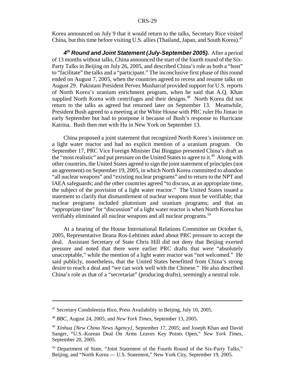Korea announced on July 9 that it would return to the talks, Secretary Rice visited China, but this time before visiting U.S. allies (Thailand, Japan, and South Korea).<sup>47</sup>

*4th Round and Joint Statement (July-September 2005).* After a period of 13 months without talks, China announced the start of the fourth round of the Six-Party Talks in Beijing on July 26, 2005, and described China's role as both a "host" to "facilitate" the talks and a "participant." The inconclusive first phase of this round ended on August 7, 2005, when the countries agreed to recess and resume talks on August 29. Pakistani President Pervez Musharraf provided support for U.S. reports of North Korea's uranium enrichment program, when he said that A.Q. Khan supplied North Korea with centrifuges and their designs.<sup>48</sup> North Korea did not return to the talks as agreed but returned later on September 13. Meanwhile, President Bush agreed to a meeting at the White House with PRC ruler Hu Jintao in early September but had to postpone it because of Bush's response to Hurricane Katrina. Bush then met with Hu in New York on September 13.

China proposed a joint statement that recognized North Korea's insistence on a light water reactor and had no explicit mention of a uranium program. On September 17, PRC Vice Foreign Minister Dai Bingguo presented China's draft as the "most realistic" and put pressure on the United States to agree to it.<sup>49</sup> Along with other countries, the United States agreed to sign the joint statement of principles (not an agreement) on September 19, 2005, in which North Korea committed to abandon "all nuclear weapons" and "existing nuclear programs" and to return to the NPT and IAEA safeguards; and the other countries agreed "to discuss, at an appropriate time, the subject of the provision of a light water reactor." The United States issued a statement to clarify that dismantlement of nuclear weapons must be verifiable; that nuclear programs included plutonium and uranium programs; and that an "appropriate time" for "discussion" of a light water reactor is when North Korea has verifiably eliminated all nuclear weapons and all nuclear programs.<sup>50</sup>

At a hearing of the House International Relations Committee on October 6, 2005, Representative Ileana Ros-Lehtinen asked about PRC pressure to accept the deal. Assistant Secretary of State Chris Hill did not deny that Beijing exerted pressure and noted that there were earlier PRC drafts that were "absolutely unacceptable," while the mention of a light water reactor was "not welcomed." He said publicly, nonetheless, that the United States benefitted from China's strong desire to reach a deal and "we can work well with the Chinese." He also described China's role as that of a "secretariat" (producing drafts), seemingly a neutral role.

<sup>47</sup> Secretary Condoleezza Rice, Press Availability in Beijing, July 10, 2005.

<sup>48</sup> *BBC*, August 24, 2005; and *New York Times*, September 13, 2005.

<sup>49</sup> *Xinhua [New China News Agency]*, September 17, 2005; and Joseph Khan and David Sanger, "U.S.-Korean Deal On Arms Leaves Key Points Open," *New York Times*, September 20, 2005.

<sup>&</sup>lt;sup>50</sup> Department of State, "Joint Statement of the Fourth Round of the Six-Party Talks," Beijing, and "North Korea — U.S. Statement," New York City, September 19, 2005.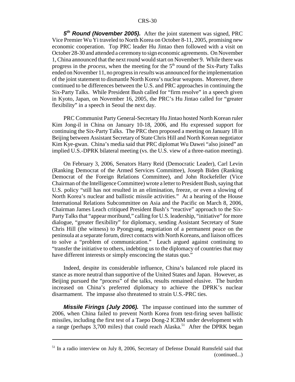*5th Round (November 2005).* After the joint statement was signed, PRC Vice Premier Wu Yi traveled to North Korea on October 8-11, 2005, promising new economic cooperation. Top PRC leader Hu Jintao then followed with a visit on October 28-30 and attended a ceremony to sign economic agreements. On November 1, China announced that the next round would start on November 9. While there was progress in the *process*, when the meeting for the 5<sup>th</sup> round of the Six-Party Talks ended on November 11, no progress in *results* was announced for the implementation of the joint statement to dismantle North Korea's nuclear weapons. Moreover, there continued to be differences between the U.S. and PRC approaches in continuing the Six-Party Talks. While President Bush called for "firm resolve" in a speech given in Kyoto, Japan, on November 16, 2005, the PRC's Hu Jintao called for "greater flexibility" in a speech in Seoul the next day.

PRC Communist Party General-Secretary Hu Jintao hosted North Korean ruler Kim Jong-il in China on January 10-18, 2006, and Hu expressed support for continuing the Six-Party Talks. The PRC then proposed a meeting on January 18 in Beijing between Assistant Secretary of State Chris Hill and North Korean negotiator Kim Kye-gwan. China's media said that PRC diplomat Wu Dawei "also joined" an implied U.S.-DPRK bilateral meeting (vs. the U.S. view of a three-nation meeting).

On February 3, 2006, Senators Harry Reid (Democratic Leader), Carl Levin (Ranking Democrat of the Armed Services Committee), Joseph Biden (Ranking Democrat of the Foreign Relations Committee), and John Rockefeller (Vice Chairman of the Intelligence Committee) wrote a letter to President Bush, saying that U.S. policy "still has not resulted in an elimination, freeze, or even a slowing of North Korea's nuclear and ballistic missile activities." At a hearing of the House International Relations Subcommittee on Asia and the Pacific on March 8, 2006, Chairman James Leach critiqued President Bush's "reactive" approach to the Six-Party Talks that "appear moribund," calling for U.S. leadership, "initiative" for more dialogue, "greater flexibility" for diplomacy, sending Assistant Secretary of State Chris Hill (the witness) to Pyongyang, negotiation of a permanent peace on the peninsula at a separate forum, direct contacts with North Koreans, and liaison offices to solve a "problem of communication." Leach argued against continuing to "transfer the initiative to others, indebting us to the diplomacy of countries that may have different interests or simply ensconcing the status quo."

Indeed, despite its considerable influence, China's balanced role placed its stance as more neutral than supportive of the United States and Japan. However, as Beijing pursued the "process" of the talks, results remained elusive. The burden increased on China's preferred diplomacy to achieve the DPRK's nuclear disarmament. The impasse also threatened to strain U.S.-PRC ties.

*Missile Firings (July 2006).* The impasse continued into the summer of 2006, when China failed to prevent North Korea from test-firing seven ballistic missiles, including the first test of a Taepo Dong-2 ICBM under development with a range (perhaps  $3,700$  miles) that could reach Alaska.<sup>51</sup> After the DPRK began

<sup>&</sup>lt;sup>51</sup> In a radio interview on July 8, 2006, Secretary of Defense Donald Rumsfeld said that (continued...)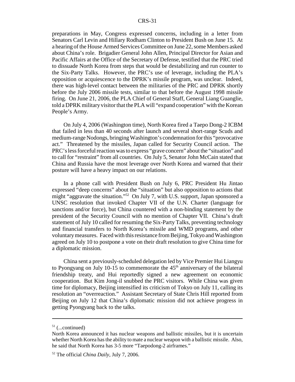preparations in May, Congress expressed concerns, including in a letter from Senators Carl Levin and Hillary Rodham Clinton to President Bush on June 15. At a hearing of the House Armed Services Committee on June 22, some Members asked about China's role. Brigadier General John Allen, Principal Director for Asian and Pacific Affairs at the Office of the Secretary of Defense, testified that the PRC tried to dissuade North Korea from steps that would be destabilizing and run counter to the Six-Party Talks. However, the PRC's use of leverage, including the PLA's opposition or acquiescence to the DPRK's missile program, was unclear. Indeed, there was high-level contact between the militaries of the PRC and DPRK shortly before the July 2006 missile tests, similar to that before the August 1998 missile firing. On June 21, 2006, the PLA Chief of General Staff, General Liang Guanglie, told a DPRK military visitor that the PLA will "expand cooperation" with the Korean People's Army.

On July 4, 2006 (Washington time), North Korea fired a Taepo Dong-2 ICBM that failed in less than 40 seconds after launch and several short-range Scuds and medium-range Nodongs, bringing Washington's condemnation for this "provocative act." Threatened by the missiles, Japan called for Security Council action. The PRC's less forceful reaction was to express "grave concern" about the "situation" and to call for "restraint" from all countries. On July 5, Senator John McCain stated that China and Russia have the most leverage over North Korea and warned that their posture will have a heavy impact on our relations.

In a phone call with President Bush on July 6, PRC President Hu Jintao expressed "deep concerns" about the "situation" but also opposition to actions that might "aggravate the situation."<sup>52</sup> On July 7, with U.S. support, Japan sponsored a UNSC resolution that invoked Chapter VII of the U.N. Charter (language for sanctions and/or force), but China countered with a non-binding statement by the president of the Security Council with no mention of Chapter VII. China's draft statement of July 10 called for resuming the Six-Party Talks, preventing technology and financial transfers to North Korea's missile and WMD programs, and other voluntary measures. Faced with this resistance from Beijing, Tokyo and Washington agreed on July 10 to postpone a vote on their draft resolution to give China time for a diplomatic mission.

China sent a previously-scheduled delegation led by Vice Premier Hui Liangyu to Pyongyang on July 10-15 to commemorate the  $45<sup>th</sup>$  anniversary of the bilateral friendship treaty, and Hui reportedly signed a new agreement on economic cooperation. But Kim Jong-il snubbed the PRC visitors. While China was given time for diplomacy, Beijing intensified its criticism of Tokyo on July 11, calling its resolution an "overreaction." Assistant Secretary of State Chris Hill reported from Beijing on July 12 that China's diplomatic mission did not achieve progress in getting Pyongyang back to the talks.

 $51$  (...continued)

North Korea announced it has nuclear weapons and ballistic missiles, but it is uncertain whether North Korea has the ability to mate a nuclear weapon with a ballistic missile. Also, he said that North Korea has 3-5 more "Taepodong-2 airframes."

<sup>52</sup> The official *China Daily*, July 7, 2006.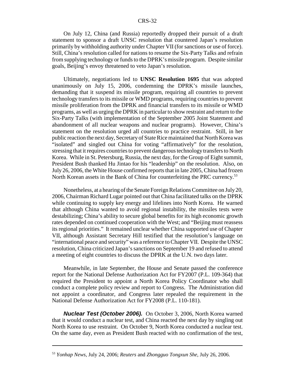On July 12, China (and Russia) reportedly dropped their pursuit of a draft statement to sponsor a draft UNSC resolution that countered Japan's resolution primarily by withholding authority under Chapter VII (for sanctions or use of force). Still, China's resolution called for nations to resume the Six-Party Talks and refrain from supplying technology or funds to the DPRK's missile program. Despite similar goals, Beijing's envoy threatened to veto Japan's resolution.

Ultimately, negotiations led to **UNSC Resolution 1695** that was adopted unanimously on July 15, 2006, condemning the DPRK's missile launches, demanding that it suspend its missile program, requiring all countries to prevent technology transfers to its missile or WMD programs, requiring countries to prevent missile proliferation from the DPRK and financial transfers to its missile or WMD programs, as well as urging the DPRK in particular to show restraint and return to the Six-Party Talks (with implementation of the September 2005 Joint Statement and abandonment of all nuclear weapons and nuclear programs). However, China's statement on the resolution urged all countries to practice restraint. Still, in her public reaction the next day, Secretary of State Rice maintained that North Korea was "isolated" and singled out China for voting "affirmatively" for the resolution, stressing that it requires countries to prevent dangerous technology transfers to North Korea. While in St. Petersburg, Russia, the next day, for the Group of Eight summit, President Bush thanked Hu Jintao for his "leadership" on the resolution. Also, on July 26, 2006, the White House confirmed reports that in late 2005, China had frozen North Korean assets in the Bank of China for counterfeiting the PRC currency.<sup>53</sup>

Nonetheless, at a hearing of the Senate Foreign Relations Committee on July 20, 2006, Chairman Richard Lugar pointed out that China facilitated talks on the DPRK while continuing to supply key energy and lifelines into North Korea. He warned that although China wanted to avoid regional instability, the missiles tests were destabilizing; China's ability to secure global benefits for its high economic growth rates depended on continued cooperation with the West; and "Beijing must reassess its regional priorities." It remained unclear whether China supported use of Chapter VII, although Assistant Secretary Hill testified that the resolution's language on "international peace and security" was a reference to Chapter VII. Despite the UNSC resolution, China criticized Japan's sanctions on September 19 and refused to attend a meeting of eight countries to discuss the DPRK at the U.N. two days later.

Meanwhile, in late September, the House and Senate passed the conference report for the National Defense Authorization Act for FY2007 (P.L. 109-364) that required the President to appoint a North Korea Policy Coordinator who shall conduct a complete policy review and report to Congress. The Administration did not appoint a coordinator, and Congress later repealed the requirement in the National Defense Authorization Act for FY2008 (P.L. 110-181).

*Nuclear Test (October 2006).* On October 3, 2006, North Korea warned that it would conduct a nuclear test, and China reacted the next day by singling out North Korea to use restraint. On October 9, North Korea conducted a nuclear test. On the same day, even as President Bush reacted with no confirmation of the test,

<sup>53</sup> *Yonhap News*, July 24, 2006; *Reuters* and *Zhongguo Tongxun She*, July 26, 2006.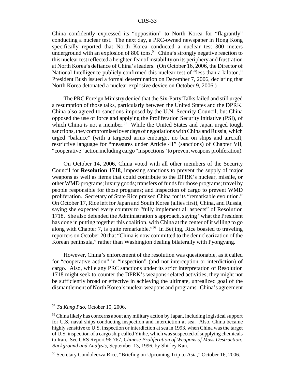China confidently expressed its "opposition" to North Korea for "flagrantly" conducting a nuclear test. The next day, a PRC-owned newspaper in Hong Kong specifically reported that North Korea conducted a nuclear test 300 meters underground with an explosion of 800 tons.<sup>54</sup> China's strongly negative reaction to this nuclear test reflected a heighten fear of instability on its periphery and frustration at North Korea's defiance of China's leaders. (On October 16, 2006, the Director of National Intelligence publicly confirmed this nuclear test of "less than a kiloton." President Bush issued a formal determination on December 7, 2006, declaring that North Korea detonated a nuclear explosive device on October 9, 2006.)

The PRC Foreign Ministry denied that the Six-Party Talks failed and still urged a resumption of those talks, particularly between the United States and the DPRK. China also agreed to sanctions imposed by the U.N. Security Council, but China opposed the use of force and applying the Proliferation Security Initiative (PSI), of which China is not a member.<sup>55</sup> While the United States and Japan urged tough sanctions, they compromised over days of negotiations with China and Russia, which urged "balance" (with a targeted arms embargo, no ban on ships and aircraft, restrictive language for "measures under Article 41" (sanctions) of Chapter VII, "cooperative" action including cargo "inspections" to prevent weapons proliferation).

On October 14, 2006, China voted with all other members of the Security Council for **Resolution 1718**, imposing sanctions to prevent the supply of major weapons as well as items that could contribute to the DPRK's nuclear, missile, or other WMD programs; luxury goods; transfers of funds for those programs; travel by people responsible for those programs; and inspection of cargo to prevent WMD proliferation. Secretary of State Rice praised China for its "remarkable evolution." On October 17, Rice left for Japan and South Korea (allies first), China, and Russia, saying she expected every country to "fully implement all aspects" of Resolution 1718. She also defended the Administration's approach, saying "what the President has done in putting together this coalition, with China at the center of it willing to go along with Chapter 7, is quite remarkable."56 In Beijing, Rice boasted to traveling reporters on October 20 that "China is now committed to the denuclearization of the Korean peninsula," rather than Washington dealing bilaterally with Pyongyang.

However, China's enforcement of the resolution was questionable, as it called for "cooperative action" in "inspection" (and not interception or interdiction) of cargo. Also, while any PRC sanctions under its strict interpretation of Resolution 1718 might seek to counter the DPRK's weapons-related activities, they might not be sufficiently broad or effective in achieving the ultimate, unrealized goal of the dismantlement of North Korea's nuclear weapons and programs. China's agreement

<sup>54</sup> *Ta Kung Pao*, October 10, 2006.

<sup>&</sup>lt;sup>55</sup> China likely has concerns about any military action by Japan, including logistical support for U.S. naval ships conducting inspection and interdiction at sea. Also, China became highly sensitive to U.S. inspection or interdiction at sea in 1993, when China was the target of U.S. inspection of a cargo ship called Yinhe, which was suspected of supplying chemicals to Iran. See CRS Report 96-767, *Chinese Proliferation of Weapons of Mass Destruction: Background and Analysis*, September 13, 1996, by Shirley Kan.

<sup>56</sup> Secretary Condoleezza Rice, "Briefing on Upcoming Trip to Asia," October 16, 2006.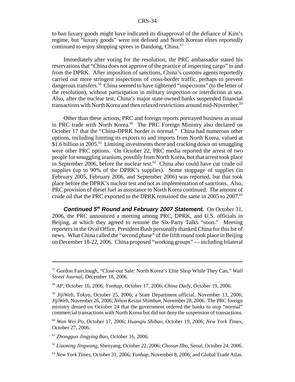to ban luxury goods might have indicated its disapproval of the defiance of Kim's regime, but "luxury goods" were not defined and North Korean elites reportedly continued to enjoy shopping sprees in Dandong, China.<sup>57</sup>

Immediately after voting for the resolution, the PRC ambassador stated his reservations that "China does not approve of the practice of inspecting cargo" to and from the DPRK. After imposition of sanctions, China's customs agents reportedly carried out more stringent inspections of cross-border traffic, perhaps to prevent dangerous transfers.<sup>58</sup> China seemed to have tightened "inspections" (to the letter of the resolution), without participation in military inspection or interdiction at sea. Also, after the nuclear test, China's major state-owned banks suspended financial transactions with North Korea and then relaxed restrictions around mid-November.<sup>59</sup>

Other than these actions, PRC and foreign reports portrayed business as usual in PRC trade with North Korea.<sup>60</sup> The PRC Foreign Ministry also declared on October 17 that the "China-DPRK border is normal." China had numerous other options, including limiting its exports to and imports from North Korea, valued at \$1.6 billion in 2005.<sup>61</sup> Limiting investments there and cracking down on smuggling were other PRC options. On October 22, PRC media reported the arrest of two people for smuggling uranium, possibly from North Korea, but that arrest took place in September 2006, before the nuclear test.<sup>62</sup> China also could have cut crude oil supplies (up to 90% of the DPRK's supplies). Some stoppage of supplies (in February 2005, February 2006, and September 2006) was reported, but that took place before the DPRK's nuclear test and not as implementation of sanctions. Also, PRC provision of diesel fuel as assistance to North Korea continued. The amount of crude oil that the PRC exported to the DPRK remained the same in 2005 to 2007.<sup>63</sup>

*Continued 5th Round and February 2007 Statement.* On October 31, 2006, the PRC announced a meeting among PRC, DPRK, and U.S. officials in Beijing, at which they agreed to resume the Six-Party Talks "soon." Meeting reporters in the Oval Office, President Bush personally thanked China for this bit of news. What China called the "second phase" of the fifth round took place in Beijing on December 18-22, 2006. China proposed "working groups" — including bilateral

<sup>57</sup> Gordon Fairclough, "Close-out Sale: North Korea's Elite Shop While They Can," *Wall Street Journal*, December 18, 2006.

<sup>58</sup> *AP*, October 16, 2006; *Yonhap*, October 17, 2006; *China Daily*, October 19, 2006.

<sup>59</sup> *JijiWeb*, Tokyo, October 25, 2006; a State Department official, November 13, 2006; *JijiWeb*, November 26, 2006; *Nihon Keizai Shimbun*, November 28, 2006. The PRC foreign ministry denied on October 24 that the government ordered the banks to stop "normal" commercial transactions with North Korea but did not deny the suspension of transactions.

<sup>60</sup> *Wen Wei Po*, October 17, 2006; *Huanqiu Shibao*, October 19, 2006; *New York Times*, October 27, 2006.

<sup>61</sup> *Zhongguo Jingying Bao*, October 16, 2006.

<sup>62</sup> *Liaoning Jingwang*, Shenyang, October 22, 2006; *Chosun Ilbo*, Seoul, October 24, 2006.

<sup>63</sup> *New York Times*, October 31, 2006; *Yonhap*, November 8, 2006; and Global Trade Atlas.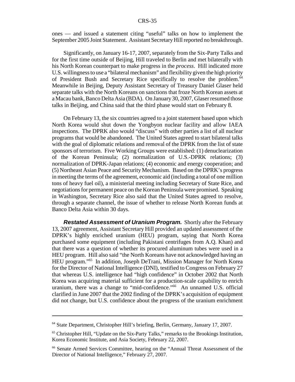ones — and issued a statement citing "useful" talks on how to implement the September 2005 Joint Statement. Assistant Secretary Hill reported no breakthrough.

Significantly, on January 16-17, 2007, separately from the Six-Party Talks and for the first time outside of Beijing, Hill traveled to Berlin and met bilaterally with his North Korean counterpart to make progress in the *process*. Hill indicated more U.S. willingness to use a "bilateral mechanism" and flexibility given the high priority of President Bush and Secretary Rice specifically to resolve the problem.<sup>64</sup> Meanwhile in Beijing, Deputy Assistant Secretary of Treasury Daniel Glaser held separate talks with the North Koreans on sanctions that froze North Korean assets at a Macau bank, Banco Delta Asia (BDA). On January 30, 2007, Glaser resumed those talks in Beijing, and China said that the third phase would start on February 8.

On February 13, the six countries agreed to a joint statement based upon which North Korea would shut down the Yongbyon nuclear facility and allow IAEA inspections. The DPRK also would "discuss" with other parties a list of all nuclear programs that would be abandoned. The United States agreed to start bilateral talks with the goal of diplomatic relations and removal of the DPRK from the list of state sponsors of terrorism. Five Working Groups were established: (1) denuclearization of the Korean Peninsula; (2) normalization of U.S.-DPRK relations; (3) normalization of DPRK-Japan relations; (4) economic and energy cooperation; and (5) Northeast Asian Peace and Security Mechanism. Based on the DPRK's progress in meeting the terms of the agreement, economic aid (including a total of one million tons of heavy fuel oil), a ministerial meeting including Secretary of State Rice, and negotiations for permanent peace on the Korean Peninsula were promised. Speaking in Washington, Secretary Rice also said that the United States agreed to resolve, through a separate channel, the issue of whether to release North Korean funds at Banco Delta Asia within 30 days.

*Restated Assessment of Uranium Program.* Shortly after the February 13, 2007 agreement, Assistant Secretary Hill provided an updated assessment of the DPRK's highly enriched uranium (HEU) program, saying that North Korea purchased some equipment (including Pakistani centrifuges from A.Q. Khan) and that there was a question of whether its procured aluminum tubes were used in a HEU program. Hill also said "the North Koreans have not acknowledged having an HEU program."65 In addition, Joseph DeTrani, Mission Manager for North Korea for the Director of National Intelligence (DNI), testified to Congress on February 27 that whereas U.S. intelligence had "high confidence" in October 2002 that North Korea was acquiring material sufficient for a production-scale capability to enrich uranium, there was a change to "mid-confidence."66 An unnamed U.S. official clarified in June 2007 that the 2002 finding of the DPRK's acquisition of equipment did not change, but U.S. confidence about the progress of the uranium enrichment

<sup>64</sup> State Department, Christopher Hill's briefing, Berlin, Germany, January 17, 2007.

<sup>65</sup> Christopher Hill, "Update on the Six-Party Talks," remarks to the Brookings Institution, Korea Economic Institute, and Asia Society, February 22, 2007.

<sup>66</sup> Senate Armed Services Committee, hearing on the "Annual Threat Assessment of the Director of National Intelligence," February 27, 2007.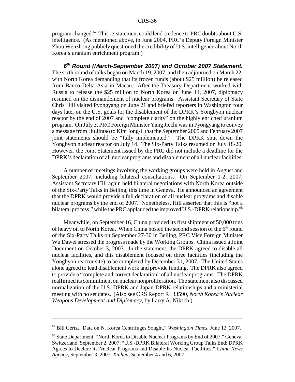program changed.67 This re-statement could lend credence to PRC doubts about U.S. intelligence. (As mentioned above, in June 2004, PRC's Deputy Foreign Minister Zhou Wenzhong publicly questioned the credibility of U.S. intelligence about North Korea's uranium enrichment program.)

*6th Round (March-September 2007) and October 2007 Statement.* The sixth round of talks began on March 19, 2007, and then adjourned on March 22, with North Korea demanding that its frozen funds (about \$25 million) be released from Banco Delta Asia in Macau. After the Treasury Department worked with Russia to release the \$25 million to North Korea on June 14, 2007, diplomacy resumed on the dismantlement of nuclear programs. Assistant Secretary of State Chris Hill visited Pyongyang on June 21 and briefed reporters in Washington four days later on the U.S. goals for the disablement of the DPRK's Yongbyon nuclear reactor by the end of 2007 and "complete clarity" on the highly enriched uranium program. On July 3, PRC Foreign Minister Yang Jiechi was in Pyongyang to convey a message from Hu Jintao to Kim Jong-il that the September 2005 and February 2007 joint statements should be "fully implemented." The DPRK shut down the Yongbyon nuclear reactor on July 14. The Six-Party Talks resumed on July 18-20. However, the Joint Statement issued by the PRC did not include a deadline for the DPRK's declaration of all nuclear programs and disablement of all nuclear facilities.

A number of meetings involving the working groups were held in August and September 2007, including bilateral consultations. On September 1-2, 2007, Assistant Secretary Hill again held bilateral negotiations with North Korea outside of the Six-Party Talks in Beijing, this time in Geneva. He announced an agreement that the DPRK would provide a full declaration of all nuclear programs and disable nuclear programs by the end of 2007. Nonetheless, Hill asserted that this is "not a bilateral process," while the PRC applauded the improved U.S.-DPRK relationship.<sup>68</sup>

Meanwhile, on September 16, China provided its first shipment of 50,000 tons of heavy oil to North Korea. When China hosted the second session of the  $6<sup>th</sup>$  round of the Six-Party Talks on September 27-30 in Beijing, PRC Vice Foreign Minister Wu Dawei stressed the progress made by the Working Groups. China issued a Joint Document on October 3, 2007. In the statement, the DPRK agreed to disable all nuclear facilities, and this disablement focused on three facilities (including the Yongbyon reactor site) to be completed by December 31, 2007. The United States alone agreed to lead disablement work and provide funding. The DPRK also agreed to provide a "complete and correct declaration" of all nuclear programs. The DPRK reaffirmed its commitment on nuclear nonproliferation. The statement also discussed normalization of the U.S.-DPRK and Japan-DPRK relationships and a ministerial meeting with no set dates. (Also see CRS Report RL33590, *North Korea's Nuclear Weapons Development and Diplomacy*, by Larry A. Niksch.)

<sup>67</sup> Bill Gertz, "Data on N. Korea Centrifuges Sought," *Washington Times*, June 12, 2007.

<sup>68</sup> State Department, "North Korea to Disable Nuclear Programs by End of 2007," Geneva, Switzerland, September 2, 2007; "U.S.-DPRK Bilateral Working Group Talks End; DPRK Agrees to Declare its Nuclear Programs and Disable Its Nuclear Facilities," *China News Agency*, September 3, 2007; *Xinhua*, September 4 and 6, 2007.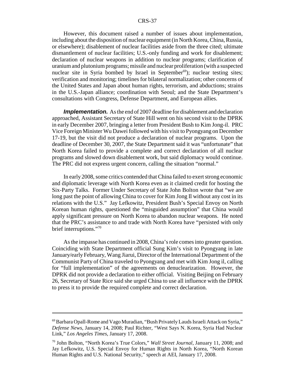However, this document raised a number of issues about implementation, including about the disposition of nuclear equipment (in North Korea, China, Russia, or elsewhere); disablement of nuclear facilities aside from the three cited; ultimate dismantlement of nuclear facilities; U.S.-only funding and work for disablement; declaration of nuclear weapons in addition to nuclear programs; clarification of uranium and plutonium programs; missile and nuclear proliferation (with a suspected nuclear site in Syria bombed by Israel in September<sup>69</sup>); nuclear testing sites; verification and monitoring; timelines for bilateral normalization; other concerns of the United States and Japan about human rights, terrorism, and abductions; strains in the U.S.-Japan alliance; coordination with Seoul; and the State Department's consultations with Congress, Defense Department, and European allies.

**Implementation.** As the end of 2007 deadline for disablement and declaration approached, Assistant Secretary of State Hill went on his second visit to the DPRK in early December 2007, bringing a letter from President Bush to Kim Jong-il. PRC Vice Foreign Minister Wu Dawei followed with his visit to Pyongyang on December 17-19, but the visit did not produce a declaration of nuclear programs. Upon the deadline of December 30, 2007, the State Department said it was "unfortunate" that North Korea failed to provide a complete and correct declaration of all nuclear programs and slowed down disablement work, but said diplomacy would continue. The PRC did not express urgent concern, calling the situation "normal."

In early 2008, some critics contended that China failed to exert strong economic and diplomatic leverage with North Korea even as it claimed credit for hosting the Six-Party Talks. Former Under Secretary of State John Bolton wrote that "we are long past the point of allowing China to cover for Kim Jong Il without any cost in its relations with the U.S." Jay Lefkowitz, President Bush's Special Envoy on North Korean human rights, questioned the "misguided assumption" that China would apply significant pressure on North Korea to abandon nuclear weapons. He noted that the PRC's assistance to and trade with North Korea have "persisted with only brief interruptions."70

As the impasse has continued in 2008, China's role comes into greater question. Coinciding with State Department official Sung Kim's visit to Pyongyang in late January/early February, Wang Jiarui, Director of the International Department of the Communist Party of China traveled to Pyongyang and met with Kim Jong il, calling for "full implementation" of the agreements on denuclearization. However, the DPRK did not provide a declaration to either official. Visiting Beijing on February 26, Secretary of State Rice said she urged China to use all influence with the DPRK to press it to provide the required complete and correct declaration.

<sup>69</sup> Barbara Opall-Rome and Vago Muradian, "Bush Privately Lauds Israeli Attack on Syria," *Defense News*, January 14, 2008; Paul Richter, "West Says N. Korea, Syria Had Nuclear Link," *Los Angeles Times*, January 17, 2008.

<sup>70</sup> John Bolton, "North Korea's True Colors," *Wall Street Journal*, January 11, 2008; and Jay Lefkowitz, U.S. Special Envoy for Human Rights in North Korea, "North Korean Human Rights and U.S. National Security," speech at AEI, January 17, 2008.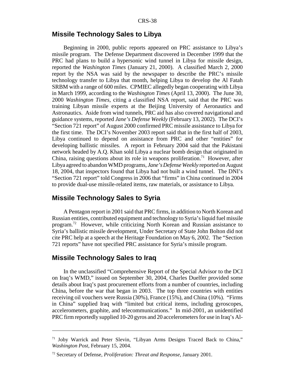# **Missile Technology Sales to Libya**

Beginning in 2000, public reports appeared on PRC assistance to Libya's missile program. The Defense Department discovered in December 1999 that the PRC had plans to build a hypersonic wind tunnel in Libya for missile design, reported the *Washington Times* (January 21, 2000). A classified March 2, 2000 report by the NSA was said by the newspaper to describe the PRC's missile technology transfer to Libya that month, helping Libya to develop the Al Fatah SRBM with a range of 600 miles. CPMIEC allegedly began cooperating with Libya in March 1999, according to the *Washington Times* (April 13, 2000). The June 30, 2000 *Washington Times*, citing a classified NSA report, said that the PRC was training Libyan missile experts at the Beijing University of Aeronautics and Astronautics. Aside from wind tunnels, PRC aid has also covered navigational and guidance systems, reported *Jane's Defense Weekly* (February 13, 2002). The DCI's "Section 721 report" of August 2000 confirmed PRC missile assistance to Libya for the first time. The DCI's November 2003 report said that in the first half of 2003, Libya continued to depend on assistance from PRC and other "entities" for developing ballistic missiles. A report in February 2004 said that the Pakistani network headed by A.Q. Khan sold Libya a nuclear bomb design that originated in China, raising questions about its role in weapons proliferation.<sup>71</sup> However, after Libya agreed to abandon WMD programs, *Jane's Defense Weekly* reported on August 18, 2004, that inspectors found that Libya had not built a wind tunnel. The DNI's "Section 721 report" told Congress in 2006 that "firms" in China continued in 2004 to provide dual-use missile-related items, raw materials, or assistance to Libya.

# **Missile Technology Sales to Syria**

A Pentagon report in 2001 said that PRC firms, in addition to North Korean and Russian entities, contributed equipment and technology to Syria's liquid fuel missile program.<sup>72</sup> However, while criticizing North Korean and Russian assistance to Syria's ballistic missile development, Under Secretary of State John Bolton did not cite PRC help at a speech at the Heritage Foundation on May 6, 2002. The "Section 721 reports" have not specified PRC assistance for Syria's missile program.

### **Missile Technology Sales to Iraq**

In the unclassified "Comprehensive Report of the Special Advisor to the DCI on Iraq's WMD," issued on September 30, 2004, Charles Duelfer provided some details about Iraq's past procurement efforts from a number of countries, including China, before the war that began in 2003. The top three countries with entities receiving oil vouchers were Russia (30%), France (15%), and China (10%). "Firms in China" supplied Iraq with "limited but critical items, including gyroscopes, accelerometers, graphite, and telecommunications." In mid-2001, an unidentified PRC firm reportedly supplied 10-20 gyros and 20 accelerometers for use in Iraq's Al-

<sup>&</sup>lt;sup>71</sup> Joby Warrick and Peter Slevin, "Libyan Arms Designs Traced Back to China," *Washington Post*, February 15, 2004.

<sup>72</sup> Secretary of Defense, *Proliferation: Threat and Response*, January 2001.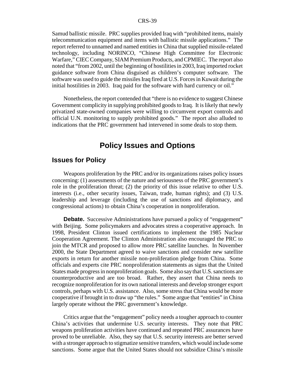Samud ballistic missile. PRC supplies provided Iraq with "prohibited items, mainly telecommunication equipment and items with ballistic missile applications." The report referred to unnamed and named entities in China that supplied missile-related technology, including NORINCO, "Chinese High Committee for Electronic Warfare," CIEC Company, SIAM Premium Products, and CPMIEC. The report also noted that "from 2002, until the beginning of hostilities in 2003, Iraq imported rocket guidance software from China disguised as children's computer software. The software was used to guide the missiles Iraq fired at U.S. Forces in Kuwait during the initial hostilities in 2003. Iraq paid for the software with hard currency or oil."

Nonetheless, the report contended that "there is no evidence to suggest Chinese Government complicity in supplying prohibited goods to Iraq. It is likely that newly privatized state-owned companies were willing to circumvent export controls and official U.N. monitoring to supply prohibited goods." The report also alluded to indications that the PRC government had intervened in some deals to stop them.

# **Policy Issues and Options**

#### **Issues for Policy**

Weapons proliferation by the PRC and/or its organizations raises policy issues concerning: (1) assessments of the nature and seriousness of the PRC government's role in the proliferation threat; (2) the priority of this issue relative to other U.S. interests (i.e., other security issues, Taiwan, trade, human rights); and (3) U.S. leadership and leverage (including the use of sanctions and diplomacy, and congressional actions) to obtain China's cooperation in nonproliferation.

**Debate.** Successive Administrations have pursued a policy of "engagement" with Beijing. Some policymakers and advocates stress a cooperative approach. In 1998, President Clinton issued certifications to implement the 1985 Nuclear Cooperation Agreement. The Clinton Administration also encouraged the PRC to join the MTCR and proposed to allow more PRC satellite launches. In November 2000, the State Department agreed to waive sanctions and consider new satellite exports in return for another missile non-proliferation pledge from China. Some officials and experts cite PRC nonproliferation statements as signs that the United States made progress in nonproliferation goals. Some also say that U.S. sanctions are counterproductive and are too broad. Rather, they assert that China needs to recognize nonproliferation for its own national interests and develop stronger export controls, perhaps with U.S. assistance. Also, some stress that China would be more cooperative if brought in to draw up "the rules." Some argue that "entities" in China largely operate without the PRC government's knowledge.

Critics argue that the "engagement" policy needs a tougher approach to counter China's activities that undermine U.S. security interests. They note that PRC weapons proliferation activities have continued and repeated PRC assurances have proved to be unreliable. Also, they say that U.S. security interests are better served with a stronger approach to stigmatize sensitive transfers, which would include some sanctions. Some argue that the United States should not subsidize China's missile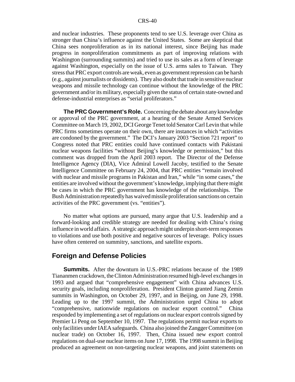and nuclear industries. These proponents tend to see U.S. leverage over China as stronger than China's influence against the United States. Some are skeptical that China sees nonproliferation as in its national interest, since Beijing has made progress in nonproliferation commitments as part of improving relations with Washington (surrounding summits) and tried to use its sales as a form of leverage against Washington, especially on the issue of U.S. arms sales to Taiwan. They stress that PRC export controls are weak, even as government repression can be harsh (e.g., against journalists or dissidents). They also doubt that trade in sensitive nuclear weapons and missile technology can continue without the knowledge of the PRC government and/or its military, especially given the status of certain state-owned and defense-industrial enterprises as "serial proliferators."

**The PRC Government's Role.** Concerning the debate about any knowledge or approval of the PRC government, at a hearing of the Senate Armed Services Committee on March 19, 2002, DCI George Tenet told Senator Carl Levin that while PRC firms sometimes operate on their own, there are instances in which "activities are condoned by the government." The DCI's January 2003 "Section 721 report" to Congress noted that PRC entities could have continued contacts with Pakistani nuclear weapons facilities "without Beijing's knowledge or permission," but this comment was dropped from the April 2003 report. The Director of the Defense Intelligence Agency (DIA), Vice Admiral Lowell Jacoby, testified to the Senate Intelligence Committee on February 24, 2004, that PRC entities "remain involved with nuclear and missile programs in Pakistan and Iran," while "in some cases," the entities are involved without the government's knowledge, implying that there might be cases in which the PRC government has knowledge of the relationships. The Bush Administration repeatedly has waived missile proliferation sanctions on certain activities of the PRC government (vs. "entities").

No matter what options are pursued, many argue that U.S. leadership and a forward-looking and credible strategy are needed for dealing with China's rising influence in world affairs. A strategic approach might underpin short-term responses to violations and use both positive and negative sources of leverage. Policy issues have often centered on summitry, sanctions, and satellite exports.

#### **Foreign and Defense Policies**

**Summits.** After the downturn in U.S.-PRC relations because of the 1989 Tiananmen crackdown, the Clinton Administration resumed high-level exchanges in 1993 and argued that "comprehensive engagement" with China advances U.S. security goals, including nonproliferation. President Clinton granted Jiang Zemin summits in Washington, on October 29, 1997, and in Beijing, on June 29, 1998. Leading up to the 1997 summit, the Administration urged China to adopt "comprehensive, nationwide regulations on nuclear export control." China responded by implementing a set of regulations on nuclear export controls signed by Premier Li Peng on September 10, 1997. The regulations permit nuclear exports to only facilities under IAEA safeguards. China also joined the Zangger Committee (on nuclear trade) on October 16, 1997. Then, China issued new export control regulations on dual-use nuclear items on June 17, 1998. The 1998 summit in Beijing produced an agreement on non-targeting nuclear weapons, and joint statements on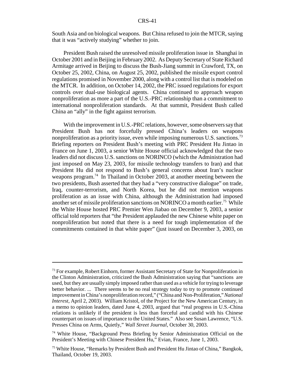South Asia and on biological weapons. But China refused to join the MTCR, saying that it was "actively studying" whether to join.

President Bush raised the unresolved missile proliferation issue in Shanghai in October 2001 and in Beijing in February 2002. As Deputy Secretary of State Richard Armitage arrived in Beijing to discuss the Bush-Jiang summit in Crawford, TX, on October 25, 2002, China, on August 25, 2002, published the missile export control regulations promised in November 2000, along with a control list that is modeled on the MTCR. In addition, on October 14, 2002, the PRC issued regulations for export controls over dual-use biological agents. China continued to approach weapon nonproliferation as more a part of the U.S.-PRC relationship than a commitment to international nonproliferation standards. At that summit, President Bush called China an "ally" in the fight against terrorism.

With the improvement in U.S.-PRC relations, however, some observers say that President Bush has not forcefully pressed China's leaders on weapons nonproliferation as a priority issue, even while imposing numerous U.S. sanctions.<sup>73</sup> Briefing reporters on President Bush's meeting with PRC President Hu Jintao in France on June 1, 2003, a senior White House official acknowledged that the two leaders did not discuss U.S. sanctions on NORINCO (which the Administration had just imposed on May 23, 2003, for missile technology transfers to Iran) and that President Hu did not respond to Bush's general concerns about Iran's nuclear weapons program.<sup>74</sup> In Thailand in October 2003, at another meeting between the two presidents, Bush asserted that they had a "very constructive dialogue" on trade, Iraq, counter-terrorism, and North Korea, but he did not mention weapons proliferation as an issue with China, although the Administration had imposed another set of missile proliferation sanctions on NORINCO a month earlier.<sup>75</sup> While the White House hosted PRC Premier Wen Jiabao on December 9, 2003, a senior official told reporters that "the President applauded the new Chinese white paper on nonproliferation but noted that there is a need for tough implementation of the commitments contained in that white paper" (just issued on December 3, 2003, on

<sup>&</sup>lt;sup>73</sup> For example, Robert Einhorn, former Assistant Secretary of State for Nonproliferation in the Clinton Administration, criticized the Bush Administration saying that "sanctions are used, but they are usually simply imposed rather than used as a vehicle for trying to leverage better behavior. ... There seems to be no real strategy today to try to promote continued improvement in China's nonproliferation record," ("China and Non-Proliferation," *National Interest*, April 2, 2003). William Kristol, of the Project for the New American Century, in a memo to opinion leaders, dated June 4, 2003, argued that "real progress in U.S.-China relations is unlikely if the president is less than forceful and candid with his Chinese counterpart on issues of importance to the United States." Also see Susan Lawrence, "U.S. Presses China on Arms, Quietly," *Wall Street Journal*, October 30, 2003.

<sup>74</sup> White House, "Background Press Briefing by Senior Administration Official on the President's Meeting with Chinese President Hu," Evian, France, June 1, 2003.

<sup>&</sup>lt;sup>75</sup> White House, "Remarks by President Bush and President Hu Jintao of China," Bangkok, Thailand, October 19, 2003.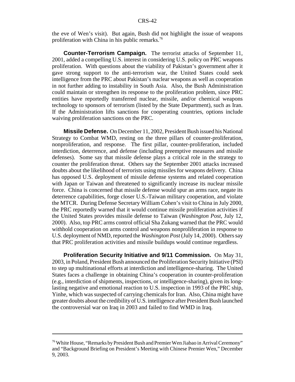the eve of Wen's visit). But again, Bush did not highlight the issue of weapons proliferation with China in his public remarks.76

**Counter-Terrorism Campaign.** The terrorist attacks of September 11, 2001, added a compelling U.S. interest in considering U.S. policy on PRC weapons proliferation. With questions about the viability of Pakistan's government after it gave strong support to the anti-terrorism war, the United States could seek intelligence from the PRC about Pakistan's nuclear weapons as well as cooperation in not further adding to instability in South Asia. Also, the Bush Administration could maintain or strengthen its response to the proliferation problem, since PRC entities have reportedly transferred nuclear, missile, and/or chemical weapons technology to sponsors of terrorism (listed by the State Department), such as Iran. If the Administration lifts sanctions for cooperating countries, options include waiving proliferation sanctions on the PRC.

**Missile Defense.** On December 11, 2002, President Bush issued his National Strategy to Combat WMD, resting on the three pillars of counter-proliferation, nonproliferation, and response. The first pillar, counter-proliferation, included interdiction, deterrence, and defense (including preemptive measures and missile defenses). Some say that missile defense plays a critical role in the strategy to counter the proliferation threat. Others say the September 2001 attacks increased doubts about the likelihood of terrorists using missiles for weapons delivery. China has opposed U.S. deployment of missile defense systems and related cooperation with Japan or Taiwan and threatened to significantly increase its nuclear missile force. China is concerned that missile defense would spur an arms race, negate its deterrence capabilities, forge closer U.S.-Taiwan military cooperation, and violate the MTCR. During Defense Secretary William Cohen's visit to China in July 2000, the PRC reportedly warned that it would continue missile proliferation activities if the United States provides missile defense to Taiwan (*Washington Post*, July 12, 2000). Also, top PRC arms control official Sha Zukang warned that the PRC would withhold cooperation on arms control and weapons nonproliferation in response to U.S. deployment of NMD, reported the *Washington Post* (July 14, 2000). Others say that PRC proliferation activities and missile buildups would continue regardless.

**Proliferation Security Initiative and 9/11 Commission.** On May 31, 2003, in Poland, President Bush announced the Proliferation Security Initiative (PSI) to step up multinational efforts at interdiction and intelligence-sharing. The United States faces a challenge in obtaining China's cooperation in counter-proliferation (e.g., interdiction of shipments, inspections, or intelligence-sharing), given its longlasting negative and emotional reaction to U.S. inspection in 1993 of the PRC ship, Yinhe, which was suspected of carrying chemicals for Iran. Also, China might have greater doubts about the credibility of U.S. intelligence after President Bush launched the controversial war on Iraq in 2003 and failed to find WMD in Iraq.

<sup>76</sup> White House, "Remarks by President Bush and Premier Wen Jiabao in Arrival Ceremony" and "Background Briefing on President's Meeting with Chinese Premier Wen," December 9, 2003.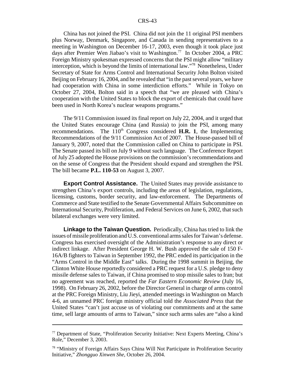China has not joined the PSI. China did not join the 11 original PSI members plus Norway, Denmark, Singapore, and Canada in sending representatives to a meeting in Washington on December 16-17, 2003, even though it took place just days after Premier Wen Jiabao's visit to Washington.<sup>77</sup> In October 2004, a PRC Foreign Ministry spokesman expressed concerns that the PSI might allow "military interception, which is beyond the limits of international law."78 Nonetheless, Under Secretary of State for Arms Control and International Security John Bolton visited Beijing on February 16, 2004, and he revealed that "in the past several years, we have had cooperation with China in some interdiction efforts." While in Tokyo on October 27, 2004, Bolton said in a speech that "we are pleased with China's cooperation with the United States to block the export of chemicals that could have been used in North Korea's nuclear weapons programs."

The 9/11 Commission issued its final report on July 22, 2004, and it urged that the United States encourage China (and Russia) to join the PSI, among many recommendations. The 110<sup>th</sup> Congress considered H.R. 1, the Implementing Recommendations of the 9/11 Commission Act of 2007. The House-passed bill of January 9, 2007, noted that the Commission called on China to participate in PSI. The Senate passed its bill on July 9 without such language. The Conference Report of July 25 adopted the House provisions on the commission's recommendations and on the sense of Congress that the President should expand and strengthen the PSI. The bill became **P.L. 110-53** on August 3, 2007.

**Export Control Assistance.** The United States may provide assistance to strengthen China's export controls, including the areas of legislation, regulations, licensing, customs, border security, and law-enforcement. The Departments of Commerce and State testified to the Senate Governmental Affairs Subcommittee on International Security, Proliferation, and Federal Services on June 6, 2002, that such bilateral exchanges were very limited.

**Linkage to the Taiwan Question.** Periodically, China has tried to link the issues of missile proliferation and U.S. conventional arms sales for Taiwan's defense. Congress has exercised oversight of the Administration's response to any direct or indirect linkage. After President George H. W. Bush approved the sale of 150 F-16A/B fighters to Taiwan in September 1992, the PRC ended its participation in the "Arms Control in the Middle East" talks. During the 1998 summit in Beijing, the Clinton White House reportedly considered a PRC request for a U.S. pledge to deny missile defense sales to Taiwan, if China promised to stop missile sales to Iran; but no agreement was reached, reported the *Far Eastern Economic Review* (July 16, 1998). On February 26, 2002, before the Director General in charge of arms control at the PRC Foreign Ministry, Liu Jieyi, attended meetings in Washington on March 4-6, an unnamed PRC foreign ministry official told the *Associated Press* that the United States "can't just accuse us of violating our commitments and at the same time, sell large amounts of arms to Taiwan," since such arms sales are "also a kind

<sup>77</sup> Department of State, "Proliferation Security Initiative: Next Experts Meeting, China's Role," December 3, 2003.

<sup>78 &</sup>quot;Ministry of Foreign Affairs Says China Will Not Participate in Proliferation Security Initiative," *Zhongguo Xinwen She*, October 26, 2004.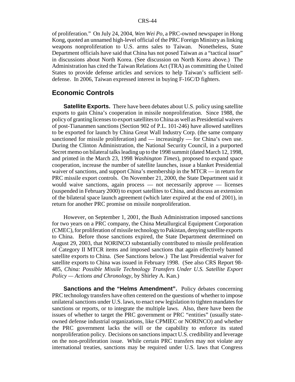of proliferation." On July 24, 2004, *Wen Wei Po*, a PRC-owned newspaper in Hong Kong, quoted an unnamed high-level official of the PRC Foreign Ministry as linking weapons nonproliferation to U.S. arms sales to Taiwan. Nonetheless, State Department officials have said that China has not posed Taiwan as a "tactical issue" in discussions about North Korea. (See discussion on North Korea above.) The Administration has cited the Taiwan Relations Act (TRA) as committing the United States to provide defense articles and services to help Taiwan's sufficient selfdefense. In 2006, Taiwan expressed interest in buying F-16C/D fighters.

#### **Economic Controls**

**Satellite Exports.** There have been debates about U.S. policy using satellite exports to gain China's cooperation in missile nonproliferation. Since 1988, the policy of granting licenses to export satellites to China as well as Presidential waivers of post-Tiananmen sanctions (Section 902 of P.L. 101-246) have allowed satellites to be exported for launch by China Great Wall Industry Corp. (the same company sanctioned for missile proliferation) and — increasingly — for China's own use. During the Clinton Administration, the National Security Council, in a purported Secret memo on bilateral talks leading up to the 1998 summit (dated March 12, 1998, and printed in the March 23, 1998 *Washington Times*), proposed to expand space cooperation, increase the number of satellite launches, issue a blanket Presidential waiver of sanctions, and support China's membership in the MTCR — in return for PRC missile export controls. On November 21, 2000, the State Department said it would waive sanctions, again process — not necessarily approve — licenses (suspended in February 2000) to export satellites to China, and discuss an extension of the bilateral space launch agreement (which later expired at the end of 2001), in return for another PRC promise on missile nonproliferation.

However, on September 1, 2001, the Bush Administration imposed sanctions for two years on a PRC company, the China Metallurgical Equipment Corporation (CMEC), for proliferation of missile technology to Pakistan, denying satellite exports to China. Before those sanctions expired, the State Department determined on August 29, 2003, that NORINCO substantially contributed to missile proliferation of Category II MTCR items and imposed sanctions that again effectively banned satellite exports to China. (See Sanctions below.) The last Presidential waiver for satellite exports to China was issued in February 1998. (See also CRS Report 98- 485, *China: Possible Missile Technology Transfers Under U.S. Satellite Export Policy — Actions and Chronology*, by Shirley A. Kan.)

**Sanctions and the "Helms Amendment".** Policy debates concerning PRC technology transfers have often centered on the questions of whether to impose unilateral sanctions under U.S. laws, to enact new legislation to tighten mandates for sanctions or reports, or to integrate the multiple laws. Also, there have been the issues of whether to target the PRC government or PRC "entities" (usually stateowned defense industrial organizations, like CPMIEC or NORINCO) and whether the PRC government lacks the will or the capability to enforce its stated nonproliferation policy. Decisions on sanctions impact U.S. credibility and leverage on the non-proliferation issue. While certain PRC transfers may not violate any international treaties, sanctions may be required under U.S. laws that Congress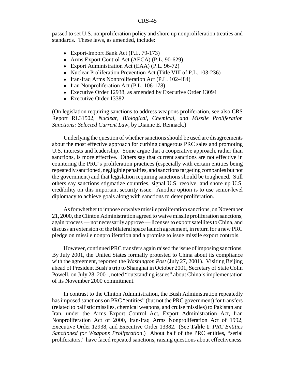passed to set U.S. nonproliferation policy and shore up nonproliferation treaties and standards. These laws, as amended, include:

- Export-Import Bank Act (P.L. 79-173)
- Arms Export Control Act (AECA) (P.L. 90-629)
- ! Export Administration Act (EAA) (P.L. 96-72)
- Nuclear Proliferation Prevention Act (Title VIII of P.L. 103-236)
- Iran-Iraq Arms Nonproliferation Act (P.L. 102-484)
- Iran Nonproliferation Act (P.L. 106-178)
- ! Executive Order 12938, as amended by Executive Order 13094
- Executive Order 13382.

(On legislation requiring sanctions to address weapons proliferation, see also CRS Report RL31502, *Nuclear, Biological, Chemical, and Missile Proliferation Sanctions: Selected Current Law*, by Dianne E. Rennack.)

Underlying the question of whether sanctions should be used are disagreements about the most effective approach for curbing dangerous PRC sales and promoting U.S. interests and leadership. Some argue that a cooperative approach, rather than sanctions, is more effective. Others say that current sanctions are not effective in countering the PRC's proliferation practices (especially with certain entities being repeatedly sanctioned, negligible penalties, and sanctions targeting companies but not the government) and that legislation requiring sanctions should be toughened. Still others say sanctions stigmatize countries, signal U.S. resolve, and shore up U.S. credibility on this important security issue. Another option is to use senior-level diplomacy to achieve goals along with sanctions to deter proliferation.

As for whether to impose or waive missile proliferation sanctions, on November 21, 2000, the Clinton Administration agreed to waive missile proliferation sanctions, again process — not necessarily approve — licenses to export satellites to China, and discuss an extension of the bilateral space launch agreement, in return for a new PRC pledge on missile nonproliferation and a promise to issue missile export controls.

However, continued PRC transfers again raised the issue of imposing sanctions. By July 2001, the United States formally protested to China about its compliance with the agreement, reported the *Washington Post* (July 27, 2001). Visiting Beijing ahead of President Bush's trip to Shanghai in October 2001, Secretary of State Colin Powell, on July 28, 2001, noted "outstanding issues" about China's implementation of its November 2000 commitment.

In contrast to the Clinton Administration, the Bush Administration repeatedly has imposed sanctions on PRC "entities" (but not the PRC government) for transfers (related to ballistic missiles, chemical weapons, and cruise missiles) to Pakistan and Iran, under the Arms Export Control Act, Export Administration Act, Iran Nonproliferation Act of 2000, Iran-Iraq Arms Nonproliferation Act of 1992, Executive Order 12938, and Executive Order 13382. (See **Table 1**: *PRC Entities Sanctioned for Weapons Proliferation*.) About half of the PRC entities, "serial proliferators," have faced repeated sanctions, raising questions about effectiveness.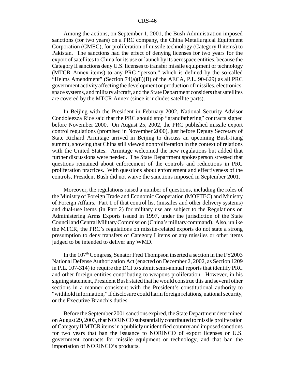Among the actions, on September 1, 2001, the Bush Administration imposed sanctions (for two years) on a PRC company, the China Metallurgical Equipment Corporation (CMEC), for proliferation of missile technology (Category II items) to Pakistan. The sanctions had the effect of denying licenses for two years for the export of satellites to China for its use or launch by its aerospace entities, because the Category II sanctions deny U.S. licenses to transfer missile equipment or technology (MTCR Annex items) to any PRC "person," which is defined by the so-called "Helms Amendment" (Section  $74(a)(8)(B)$  of the AECA, P.L. 90-629) as all PRC government activity affecting the development or production of missiles, electronics, space systems, and military aircraft, and the State Department considers that satellites are covered by the MTCR Annex (since it includes satellite parts).

In Beijing with the President in February 2002, National Security Advisor Condoleezza Rice said that the PRC should stop "grandfathering" contracts signed before November 2000. On August 25, 2002, the PRC published missile export control regulations (promised in November 2000), just before Deputy Secretary of State Richard Armitage arrived in Beijing to discuss an upcoming Bush-Jiang summit, showing that China still viewed nonproliferation in the context of relations with the United States. Armitage welcomed the new regulations but added that further discussions were needed. The State Department spokesperson stressed that questions remained about enforcement of the controls and reductions in PRC proliferation practices. With questions about enforcement and effectiveness of the controls, President Bush did not waive the sanctions imposed in September 2001.

Moreover, the regulations raised a number of questions, including the roles of the Ministry of Foreign Trade and Economic Cooperation (MOFTEC) and Ministry of Foreign Affairs. Part 1 of that control list (missiles and other delivery systems) and dual-use items (in Part 2) for military use are subject to the Regulations on Administering Arms Exports issued in 1997, under the jurisdiction of the State Council and Central Military Commission (China's military command). Also, unlike the MTCR, the PRC's regulations on missile-related exports do not state a strong presumption to deny transfers of Category I items or any missiles or other items judged to be intended to deliver any WMD.

In the  $107<sup>th</sup>$  Congress, Senator Fred Thompson inserted a section in the FY2003 National Defense Authorization Act (enacted on December 2, 2002, as Section 1209 in P.L. 107-314) to require the DCI to submit semi-annual reports that identify PRC and other foreign entities contributing to weapons proliferation. However, in his signing statement, President Bush stated that he would construe this and several other sections in a manner consistent with the President's constitutional authority to "withhold information," if disclosure could harm foreign relations, national security, or the Executive Branch's duties.

Before the September 2001 sanctions expired, the State Department determined on August 29, 2003, that NORINCO substantially contributed to missile proliferation of Category II MTCR items in a publicly unidentified country and imposed sanctions for two years that ban the issuance to NORINCO of export licenses or U.S. government contracts for missile equipment or technology, and that ban the importation of NORINCO's products.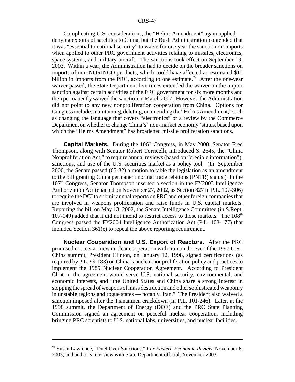Complicating U.S. considerations, the "Helms Amendment" again applied denying exports of satellites to China, but the Bush Administration contended that it was "essential to national security" to waive for one year the sanction on imports when applied to other PRC government activities relating to missiles, electronics, space systems, and military aircraft. The sanctions took effect on September 19, 2003. Within a year, the Administration had to decide on the broader sanctions on imports of non-NORINCO products, which could have affected an estimated \$12 billion in imports from the PRC, according to one estimate.<sup>79</sup> After the one-year waiver passed, the State Department five times extended the waiver on the import sanction against certain activities of the PRC government for six more months and then permanently waived the sanction in March 2007. However, the Administration did not point to any new nonproliferation cooperation from China. Options for Congress include: maintaining, deleting, or amending the "Helms Amendment," such as changing the language that covers "electronics" or a review by the Commerce Department on whether to change China's "non-market economy" status, based upon which the "Helms Amendment" has broadened missile proliferation sanctions.

**Capital Markets.** During the 106<sup>th</sup> Congress, in May 2000, Senator Fred Thompson, along with Senator Robert Torricelli, introduced S. 2645, the "China Nonproliferation Act," to require annual reviews (based on "credible information"), sanctions, and use of the U.S. securities market as a policy tool. (In September 2000, the Senate passed (65-32) a motion to table the legislation as an amendment to the bill granting China permanent normal trade relations (PNTR) status.) In the 107th Congress, Senator Thompson inserted a section in the FY2003 Intelligence Authorization Act (enacted on November 27, 2002, as Section 827 in P.L. 107-306) to require the DCI to submit annual reports on PRC and other foreign companies that are involved in weapons proliferation and raise funds in U.S. capital markets. Reporting the bill on May 13, 2002, the Senate Intelligence Committee (in S.Rept.  $107-149$ ) added that it did not intend to restrict access to those markets. The  $108<sup>th</sup>$ Congress passed the FY2004 Intelligence Authorization Act (P.L. 108-177) that included Section 361(e) to repeal the above reporting requirement.

**Nuclear Cooperation and U.S. Export of Reactors.** After the PRC promised not to start new nuclear cooperation with Iran on the eve of the 1997 U.S.- China summit, President Clinton, on January 12, 1998, signed certifications (as required by P.L. 99-183) on China's nuclear nonproliferation policy and practices to implement the 1985 Nuclear Cooperation Agreement. According to President Clinton, the agreement would serve U.S. national security, environmental, and economic interests, and "the United States and China share a strong interest in stopping the spread of weapons of mass destruction and other sophisticated weaponry in unstable regions and rogue states — notably, Iran." The President also waived a sanction imposed after the Tiananmen crackdown (in P.L. 101-246). Later, at the 1998 summit, the Department of Energy (DOE) and the PRC State Planning Commission signed an agreement on peaceful nuclear cooperation, including bringing PRC scientists to U.S. national labs, universities, and nuclear facilities.

<sup>79</sup> Susan Lawrence, "Duel Over Sanctions," *Far Eastern Economic Review*, November 6, 2003; and author's interview with State Department official, November 2003.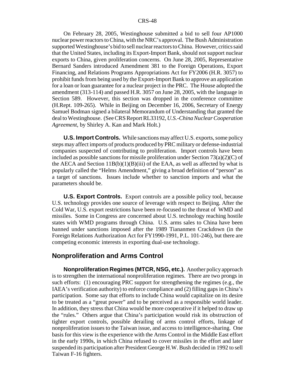On February 28, 2005, Westinghouse submitted a bid to sell four AP1000 nuclear power reactors to China, with the NRC's approval. The Bush Administration supported Westinghouse's bid to sell nuclear reactors to China. However, critics said that the United States, including its Export-Import Bank, should not support nuclear exports to China, given proliferation concerns. On June 28, 2005, Representative Bernard Sanders introduced Amendment 381 to the Foreign Operations, Export Financing, and Relations Programs Appropriations Act for FY2006 (H.R. 3057) to prohibit funds from being used by the Export-Import Bank to approve an application for a loan or loan guarantee for a nuclear project in the PRC. The House adopted the amendment (313-114) and passed H.R. 3057 on June 28, 2005, with the language in Section 589. However, this section was dropped in the conference committee (H.Rept. 109-265). While in Beijing on December 16, 2006, Secretary of Energy Samuel Bodman signed a bilateral Memorandum of Understanding that granted the deal to Westinghouse. (See CRS Report RL33192, *U.S.-China Nuclear Cooperation Agreement*, by Shirley A. Kan and Mark Holt.)

**U.S. Import Controls.** While sanctions may affect U.S. exports, some policy steps may affect imports of products produced by PRC military or defense-industrial companies suspected of contributing to proliferation. Import controls have been included as possible sanctions for missile proliferation under Section  $73(a)(2)(C)$  of the AECA and Section  $11B(b)(1)(B)(iii)$  of the EAA, as well as affected by what is popularly called the "Helms Amendment," giving a broad definition of "person" as a target of sanctions. Issues include whether to sanction imports and what the parameters should be.

**U.S. Export Controls.** Export controls are a possible policy tool, because U.S. technology provides one source of leverage with respect to Beijing. After the Cold War, U.S. export restrictions have been re-focused to the threat of WMD and missiles. Some in Congress are concerned about U.S. technology reaching hostile states with WMD programs through China. U.S. arms sales to China have been banned under sanctions imposed after the 1989 Tiananmen Crackdown (in the Foreign Relations Authorization Act for FY1990-1991, P.L. 101-246), but there are competing economic interests in exporting dual-use technology.

#### **Nonproliferation and Arms Control**

**Nonproliferation Regimes (MTCR, NSG, etc.).** Another policy approach is to strengthen the international nonproliferation regimes. There are two prongs in such efforts: (1) encouraging PRC support for strengthening the regimes (e.g., the IAEA's verification authority) to enforce compliance and (2) filling gaps in China's participation. Some say that efforts to include China would capitalize on its desire to be treated as a "great power" and to be perceived as a responsible world leader. In addition, they stress that China would be more cooperative if it helped to draw up the "rules." Others argue that China's participation would risk its obstruction of tighter export controls, possible derailing of arms control efforts, linkage of nonproliferation issues to the Taiwan issue, and access to intelligence-sharing. One basis for this view is the experience with the Arms Control in the Middle East effort in the early 1990s, in which China refused to cover missiles in the effort and later suspended its participation after President George H.W. Bush decided in 1992 to sell Taiwan F-16 fighters.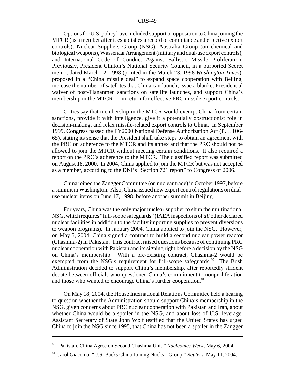Options for U.S. policy have included support or opposition to China joining the MTCR (as a member after it establishes a record of compliance and effective export controls), Nuclear Suppliers Group (NSG), Australia Group (on chemical and biological weapons), Wassenaar Arrangement (military and dual-use export controls), and International Code of Conduct Against Ballistic Missile Proliferation. Previously, President Clinton's National Security Council, in a purported Secret memo, dated March 12, 1998 (printed in the March 23, 1998 *Washington Times*), proposed in a "China missile deal" to expand space cooperation with Beijing, increase the number of satellites that China can launch, issue a blanket Presidential waiver of post-Tiananmen sanctions on satellite launches, and support China's membership in the MTCR — in return for effective PRC missile export controls.

Critics say that membership in the MTCR would exempt China from certain sanctions, provide it with intelligence, give it a potentially obstructionist role in decision-making, and relax missile-related export controls to China. In September 1999, Congress passed the FY2000 National Defense Authorization Act (P.L. 106- 65), stating its sense that the President shall take steps to obtain an agreement with the PRC on adherence to the MTCR and its annex and that the PRC should not be allowed to join the MTCR without meeting certain conditions. It also required a report on the PRC's adherence to the MTCR. The classified report was submitted on August 18, 2000. In 2004, China applied to join the MTCR but was not accepted as a member, according to the DNI's "Section 721 report" to Congress of 2006.

China joined the Zangger Committee (on nuclear trade) in October 1997, before a summit in Washington. Also, China issued new export control regulations on dualuse nuclear items on June 17, 1998, before another summit in Beijing.

For years, China was the only major nuclear supplier to shun the multinational NSG, which requires "full-scope safeguards" (IAEA inspections of *all* other declared nuclear facilities in addition to the facility importing supplies to prevent diversions to weapon programs). In January 2004, China applied to join the NSG. However, on May 5, 2004, China signed a contract to build a second nuclear power reactor (Chashma-2) in Pakistan. This contract raised questions because of continuing PRC nuclear cooperation with Pakistan and its signing right before a decision by the NSG on China's membership. With a pre-existing contract, Chashma-2 would be exempted from the NSG's requirement for full-scope safeguards.<sup>80</sup> The Bush Administration decided to support China's membership, after reportedly strident debate between officials who questioned China's commitment to nonproliferation and those who wanted to encourage China's further cooperation.<sup>81</sup>

On May 18, 2004, the House International Relations Committee held a hearing to question whether the Administration should support China's membership in the NSG, given concerns about PRC nuclear cooperation with Pakistan and Iran, about whether China would be a spoiler in the NSG, and about loss of U.S. leverage. Assistant Secretary of State John Wolf testified that the United States has urged China to join the NSG since 1995, that China has not been a spoiler in the Zangger

<sup>80 &</sup>quot;Pakistan, China Agree on Second Chashma Unit," *Nucleonics Week*, May 6, 2004.

<sup>81</sup> Carol Giacomo, "U.S. Backs China Joining Nuclear Group," *Reuters*, May 11, 2004.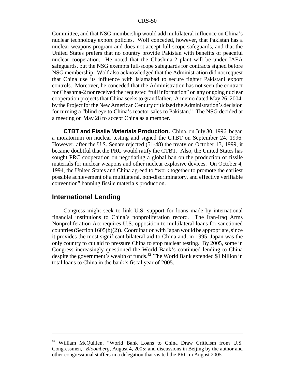Committee, and that NSG membership would add multilateral influence on China's nuclear technology export policies. Wolf conceded, however, that Pakistan has a nuclear weapons program and does not accept full-scope safeguards, and that the United States prefers that no country provide Pakistan with benefits of peaceful nuclear cooperation. He noted that the Chashma-2 plant will be under IAEA safeguards, but the NSG exempts full-scope safeguards for contracts signed before NSG membership. Wolf also acknowledged that the Administration did not request that China use its influence with Islamabad to secure tighter Pakistani export controls. Moreover, he conceded that the Administration has not seen the contract for Chashma-2 nor received the requested "full information" on any ongoing nuclear cooperation projects that China seeks to grandfather. A memo dated May 26, 2004, by the Project for the New American Century criticized the Administration's decision for turning a "blind eye to China's reactor sales to Pakistan." The NSG decided at a meeting on May 28 to accept China as a member.

**CTBT and Fissile Materials Production.** China, on July 30, 1996, began a moratorium on nuclear testing and signed the CTBT on September 24, 1996. However, after the U.S. Senate rejected (51-48) the treaty on October 13, 1999, it became doubtful that the PRC would ratify the CTBT. Also, the United States has sought PRC cooperation on negotiating a global ban on the production of fissile materials for nuclear weapons and other nuclear explosive devices. On October 4, 1994, the United States and China agreed to "work together to promote the earliest possible achievement of a multilateral, non-discriminatory, and effective verifiable convention" banning fissile materials production.

### **International Lending**

Congress might seek to link U.S. support for loans made by international financial institutions to China's nonproliferation record. The Iran-Iraq Arms Nonproliferation Act requires U.S. opposition to multilateral loans for sanctioned countries (Section  $1605(b)(2)$ ). Coordination with Japan would be appropriate, since it provides the most significant bilateral aid to China and, in 1995, Japan was the only country to cut aid to pressure China to stop nuclear testing. By 2005, some in Congress increasingly questioned the World Bank's continued lending to China despite the government's wealth of funds.<sup>82</sup> The World Bank extended \$1 billion in total loans to China in the bank's fiscal year of 2005.

<sup>&</sup>lt;sup>82</sup> William McQuillen, "World Bank Loans to China Draw Criticism from U.S. Congressmen," *Bloomberg*, August 4, 2005; and discussions in Beijing by the author and other congressional staffers in a delegation that visited the PRC in August 2005.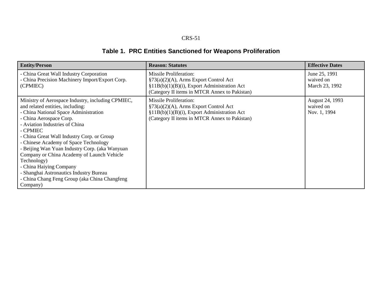# **Table 1. PRC Entities Sanctioned for Weapons Proliferation**

| <b>Entity/Person</b>                                                                                                                                                                                                                                                                                                                                                                                                                                                                                                                             | <b>Reason: Statutes</b>                                                                                                                                                    | <b>Effective Dates</b>                       |
|--------------------------------------------------------------------------------------------------------------------------------------------------------------------------------------------------------------------------------------------------------------------------------------------------------------------------------------------------------------------------------------------------------------------------------------------------------------------------------------------------------------------------------------------------|----------------------------------------------------------------------------------------------------------------------------------------------------------------------------|----------------------------------------------|
| - China Great Wall Industry Corporation<br>- China Precision Machinery Import/Export Corp.<br>(CPMIEC)                                                                                                                                                                                                                                                                                                                                                                                                                                           | <b>Missile Proliferation:</b><br>$\S73(a)(2)(A)$ , Arms Export Control Act<br>§11B(b)(1)(B)(i), Export Administration Act<br>(Category II items in MTCR Annex to Pakistan) | June 25, 1991<br>waived on<br>March 23, 1992 |
| Ministry of Aerospace Industry, including CPMIEC,<br>and related entities, including:<br>- China National Space Administration<br>- China Aerospace Corp.<br>- Aviation Industries of China<br>- CPMIEC<br>- China Great Wall Industry Corp. or Group<br>- Chinese Academy of Space Technology<br>- Beijing Wan Yuan Industry Corp. (aka Wanyuan<br>Company or China Academy of Launch Vehicle<br>Technology)<br>- China Haiying Company<br>- Shanghai Astronautics Industry Bureau<br>- China Chang Feng Group (aka China Changfeng<br>Company) | <b>Missile Proliferation:</b><br>$\S73(a)(2)(A)$ , Arms Export Control Act<br>§11B(b)(1)(B)(i), Export Administration Act<br>(Category II items in MTCR Annex to Pakistan) | August 24, 1993<br>waived on<br>Nov. 1, 1994 |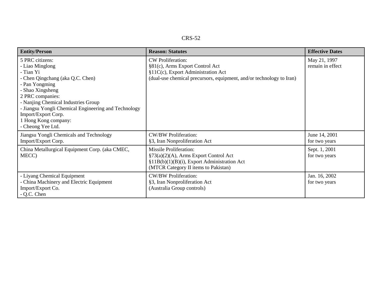CRS-52

| <b>Entity/Person</b>                                                                                                                                                                                                                                                                                             | <b>Reason: Statutes</b>                                                                                                                                                   | <b>Effective Dates</b>           |
|------------------------------------------------------------------------------------------------------------------------------------------------------------------------------------------------------------------------------------------------------------------------------------------------------------------|---------------------------------------------------------------------------------------------------------------------------------------------------------------------------|----------------------------------|
| 5 PRC citizens:<br>- Liao Minglong<br>- Tian Yi<br>- Chen Qingchang (aka Q.C. Chen)<br>- Pan Yongming<br>- Shao Xingsheng<br>2 PRC companies:<br>- Nanjing Chemical Industries Group<br>- Jiangsu Yongli Chemical Engineering and Technology<br>Import/Export Corp.<br>1 Hong Kong company:<br>- Cheong Yee Ltd. | <b>CW</b> Proliferation:<br>§81(c), Arms Export Control Act<br>§11C(c), Export Administration Act<br>(dual-use chemical precursors, equipment, and/or technology to Iran) | May 21, 1997<br>remain in effect |
| Jiangsu Yongli Chemicals and Technology<br>Import/Export Corp.                                                                                                                                                                                                                                                   | <b>CW/BW Proliferation:</b><br>§3, Iran Nonproliferation Act                                                                                                              | June 14, 2001<br>for two years   |
| China Metallurgical Equipment Corp. (aka CMEC,<br>MECC)                                                                                                                                                                                                                                                          | <b>Missile Proliferation:</b><br>$\S73(a)(2)(A)$ , Arms Export Control Act<br>§11B(b)(1)(B)(i), Export Administration Act<br>(MTCR Category II items to Pakistan)         | Sept. 1, 2001<br>for two years   |
| - Liyang Chemical Equipment<br>- China Machinery and Electric Equipment<br>Import/Export Co.<br>- Q.C. Chen                                                                                                                                                                                                      | <b>CW/BW Proliferation:</b><br>§3, Iran Nonproliferation Act<br>(Australia Group controls)                                                                                | Jan. 16, 2002<br>for two years   |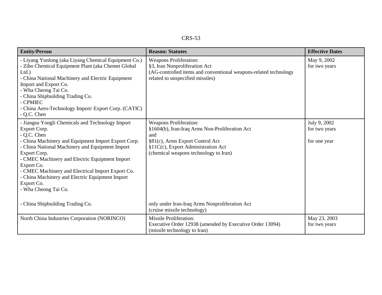| п.<br>יי<br>v. |  |
|----------------|--|
|----------------|--|

| <b>Entity/Person</b>                                                                                                                                                                                                                                                                                                                                                                                          | <b>Reason: Statutes</b>                                                                                                                                                                                  | <b>Effective Dates</b>                        |
|---------------------------------------------------------------------------------------------------------------------------------------------------------------------------------------------------------------------------------------------------------------------------------------------------------------------------------------------------------------------------------------------------------------|----------------------------------------------------------------------------------------------------------------------------------------------------------------------------------------------------------|-----------------------------------------------|
| - Liyang Yunlong (aka Liyang Chemical Equipment Co.)<br>- Zibo Chemical Equipment Plant (aka Chemet Global<br>Ltd.)<br>China National Machinery and Electric Equipment<br>Import and Export Co.<br>- Wha Cheong Tai Co.<br>China Shipbuilding Trading Co.<br><b>CPMIEC</b><br>China Aero-Technology Import/Export Corp. (CATIC)<br>Q.C. Chen                                                                  | <b>Weapons Proliferation:</b><br>§3, Iran Nonproliferation Act<br>(AG-controlled items and conventional weapons-related technology<br>related to unspecified missiles)                                   | May 9, 2002<br>for two years                  |
| - Jiangsu Yongli Chemicals and Technology Import<br>Export Corp.<br>Q.C. Chen<br>China Machinery and Equipment Import Export Corp.<br>China National Machinery and Equipment Import<br>Export Corp.<br>- CMEC Machinery and Electric Equipment Import<br>Export Co.<br>CMEC Machinery and Electrical Import Export Co.<br>China Machinery and Electric Equipment Import<br>Export Co.<br>- Wha Cheong Tai Co. | <b>Weapons Proliferation:</b><br>§1604(b), Iran-Iraq Arms Non-Proliferation Act<br>and<br>§81(c), Arms Export Control Act<br>§11C(c), Export Administration Act<br>(chemical weapons technology to Iran) | July 9, 2002<br>for two years<br>for one year |
| China Shipbuilding Trading Co.                                                                                                                                                                                                                                                                                                                                                                                | only under Iran-Iraq Arms Nonproliferation Act<br>(cruise missile technology)                                                                                                                            |                                               |
| North China Industries Corporation (NORINCO)                                                                                                                                                                                                                                                                                                                                                                  | <b>Missile Proliferation:</b><br>Executive Order 12938 (amended by Executive Order 13094)<br>(missile technology to Iran)                                                                                | May 23, 2003<br>for two years                 |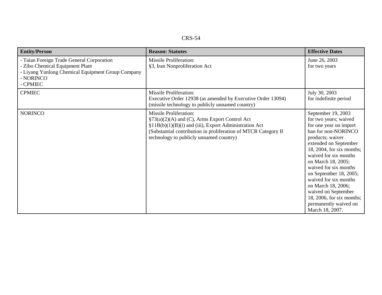| n.<br>N<br>`` |  |
|---------------|--|
|---------------|--|

| <b>Entity/Person</b>                                                                                                                                       | <b>Reason: Statutes</b>                                                                                                                                                                                                                              | <b>Effective Dates</b>                                                                                                                                                                                                                                                                                                                                                                                                  |
|------------------------------------------------------------------------------------------------------------------------------------------------------------|------------------------------------------------------------------------------------------------------------------------------------------------------------------------------------------------------------------------------------------------------|-------------------------------------------------------------------------------------------------------------------------------------------------------------------------------------------------------------------------------------------------------------------------------------------------------------------------------------------------------------------------------------------------------------------------|
| - Taian Foreign Trade General Corporation<br>- Zibo Chemical Equipment Plant<br>- Liyang Yunlong Chemical Equipment Group Company<br>- NORINCO<br>- CPMIEC | <b>Missile Proliferation:</b><br>§3, Iran Nonproliferation Act                                                                                                                                                                                       | June 26, 2003<br>for two years                                                                                                                                                                                                                                                                                                                                                                                          |
| <b>CPMIEC</b>                                                                                                                                              | <b>Missile Proliferation:</b><br>Executive Order 12938 (as amended by Executive Order 13094)<br>(missile technology to publicly unnamed country)                                                                                                     | July 30, 2003<br>for indefinite period                                                                                                                                                                                                                                                                                                                                                                                  |
| <b>NORINCO</b>                                                                                                                                             | <b>Missile Proliferation:</b><br>§73(a)(2)(A) and (C), Arms Export Control Act<br>§11B(b)(1)(B)(i) and (iii), Export Administration Act<br>(Substantial contribution in proliferation of MTCR Category II<br>technology to publicly unnamed country) | September 19, 2003<br>for two years; waived<br>for one year on import<br>ban for non-NORINCO<br>products; waiver<br>extended on September<br>18, 2004, for six months;<br>waived for six months<br>on March 18, 2005;<br>waived for six months<br>on September 18, 2005;<br>waived for six months<br>on March 18, 2006;<br>waived on September<br>18, 2006, for six months;<br>permanently waived on<br>March 18, 2007. |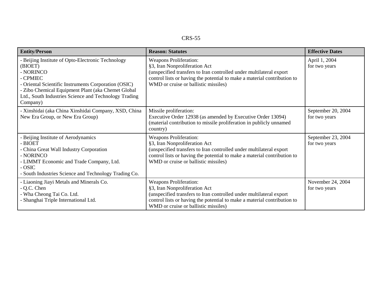| n.<br>יי<br>v. |
|----------------|
|----------------|

| <b>Entity/Person</b>                                                                                                                                                                                                                                                     | <b>Reason: Statutes</b>                                                                                                                                                                                                                                   | <b>Effective Dates</b>              |
|--------------------------------------------------------------------------------------------------------------------------------------------------------------------------------------------------------------------------------------------------------------------------|-----------------------------------------------------------------------------------------------------------------------------------------------------------------------------------------------------------------------------------------------------------|-------------------------------------|
| - Beijing Institute of Opto-Electronic Technology<br>(BIOET)<br>- NORINCO<br>- CPMIEC<br>- Oriental Scientific Instruments Corporation (OSIC)<br>- Zibo Chemical Equipment Plant (aka Chemet Global<br>Ltd., South Industries Science and Technology Trading<br>Company) | <b>Weapons Proliferation:</b><br>§3, Iran Nonproliferation Act<br>(unspecified transfers to Iran controlled under multilateral export<br>control lists or having the potential to make a material contribution to<br>WMD or cruise or ballistic missiles) | April 1, 2004<br>for two years      |
| - Xinshidai (aka China Xinshidai Company, XSD, China<br>New Era Group, or New Era Group)                                                                                                                                                                                 | Missile proliferation:<br>Executive Order 12938 (as amended by Executive Order 13094)<br>(material contribution to missile proliferation in publicly unnamed<br>country)                                                                                  | September 20, 2004<br>for two years |
| - Beijing Institute of Aerodynamics<br>- BIOET<br>- China Great Wall Industry Corporation<br>- NORINCO<br>- LIMMT Economic and Trade Company, Ltd.<br>- OSIC<br>- South Industries Science and Technology Trading Co.                                                    | <b>Weapons Proliferation:</b><br>§3, Iran Nonproliferation Act<br>(unspecified transfers to Iran controlled under multilateral export<br>control lists or having the potential to make a material contribution to<br>WMD or cruise or ballistic missiles) | September 23, 2004<br>for two years |
| - Liaoning Jiayi Metals and Minerals Co.<br>- Q.C. Chen<br>- Wha Cheong Tai Co. Ltd.<br>- Shanghai Triple International Ltd.                                                                                                                                             | <b>Weapons Proliferation:</b><br>§3, Iran Nonproliferation Act<br>(unspecified transfers to Iran controlled under multilateral export<br>control lists or having the potential to make a material contribution to<br>WMD or cruise or ballistic missiles) | November 24, 2004<br>for two years  |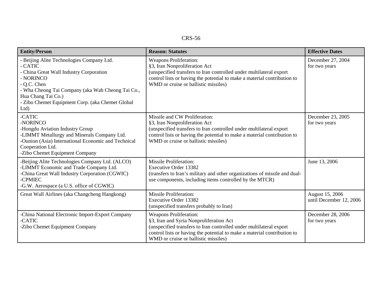| `RS<br>าท |
|-----------|
|-----------|

| <b>Entity/Person</b>                                                                                                                                                                                                                                             | <b>Reason: Statutes</b>                                                                                                                                                                                                                                             | <b>Effective Dates</b>                     |
|------------------------------------------------------------------------------------------------------------------------------------------------------------------------------------------------------------------------------------------------------------------|---------------------------------------------------------------------------------------------------------------------------------------------------------------------------------------------------------------------------------------------------------------------|--------------------------------------------|
| - Beijing Alite Technologies Company Ltd.<br>- CATIC<br>China Great Wall Industry Corporation<br>- NORINCO<br>- Q.C. Chen<br>- Wha Cheong Tai Company (aka Wah Cheong Tai Co.,<br>Hua Chang Tai Co.)<br>- Zibo Chemet Equipment Corp. (aka Chemet Global<br>Ltd) | Weapons Proliferation:<br>§3, Iran Nonproliferation Act<br>(unspecified transfers to Iran controlled under multilateral export<br>control lists or having the potential to make a material contribution to<br>WMD or cruise or ballistic missiles)                  | December 27, 2004<br>for two years         |
| -CATIC<br>-NORINCO<br>-Hongdu Aviation Industry Group<br>-LIMMT Metallurgy and Minerals Company Ltd.<br>-Ounion (Asia) International Economic and Technical<br>Cooperation Ltd.<br>-Zibo Chemet Equipment Company                                                | Missile and CW Proliferation:<br>§3, Iran Nonproliferation Act<br>(unspecified transfers to Iran controlled under multilateral export<br>control lists or having the potential to make a material contribution to<br>WMD or cruise or ballistic missiles)           | December 23, 2005<br>for two years         |
| -Beijing Alite Technologies Company Ltd. (ALCO)<br>-LIMMT Economic and Trade Company Ltd.<br>-China Great Wall Industry Corporation (CGWIC)<br>-CPMIEC<br>-G.W. Aerospace (a U.S. office of CGWIC)                                                               | <b>Missile Proliferation:</b><br>Executive Order 13382<br>(transfers to Iran's military and other organizations of missile and dual-<br>use components, including items controlled by the MTCR)                                                                     | June 13, 2006                              |
| Great Wall Airlines (aka Changcheng Hangkong)                                                                                                                                                                                                                    | <b>Missile Proliferation:</b><br>Executive Order 13382<br>(unspecified transfers probably to Iran)                                                                                                                                                                  | August 15, 2006<br>until December 12, 2006 |
| -China National Electronic Import-Export Company<br>-CATIC<br>-Zibo Chemet Equipment Company                                                                                                                                                                     | <b>Weapons Proliferation:</b><br>§3, Iran and Syria Nonproliferation Act<br>(unspecified transfers to Iran controlled under multilateral export<br>control lists or having the potential to make a material contribution to<br>WMD or cruise or ballistic missiles) | December 28, 2006<br>for two years         |